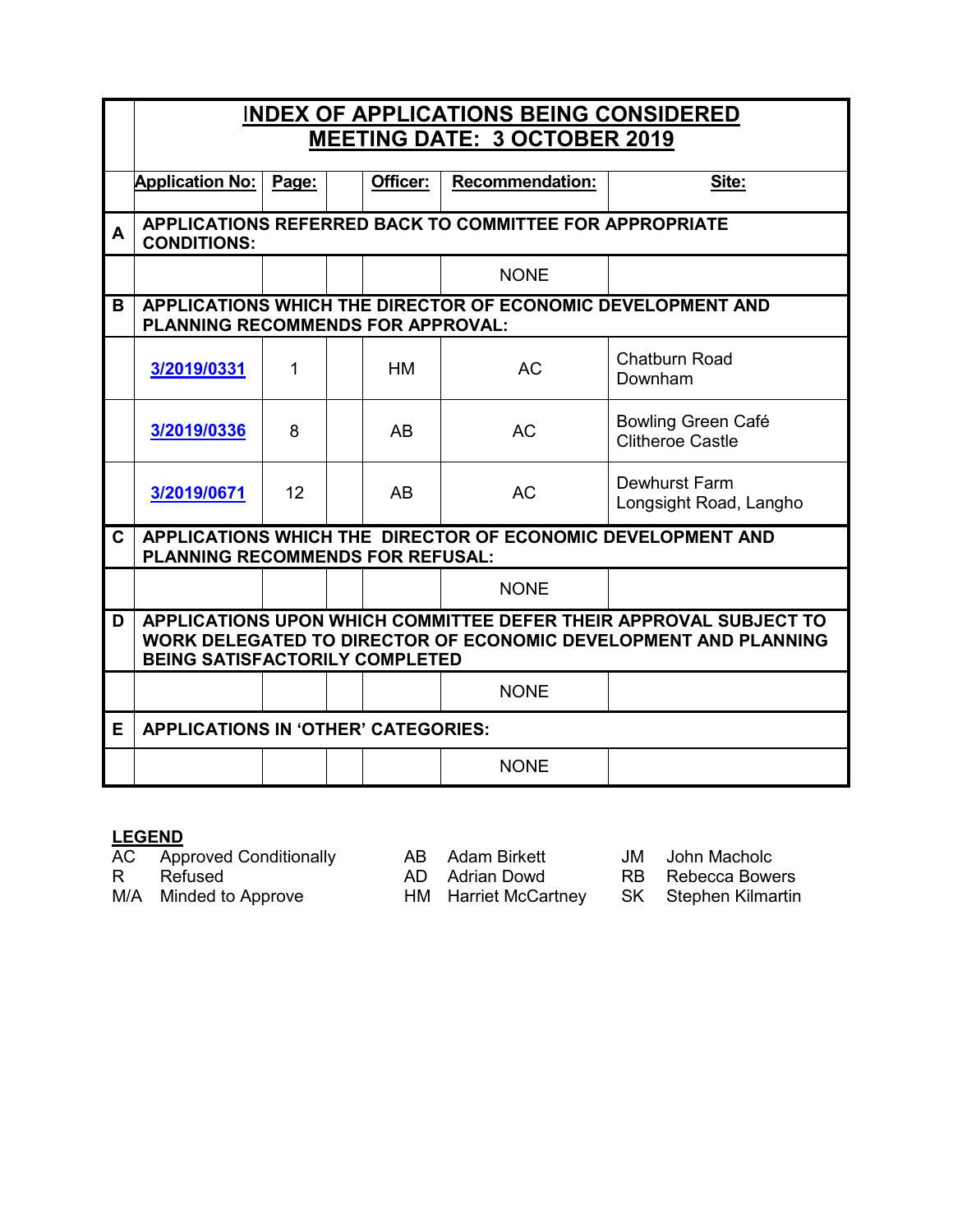|   | <b>INDEX OF APPLICATIONS BEING CONSIDERED</b>                                                                                                                          |       |  |          |                        |                                               |  |  |
|---|------------------------------------------------------------------------------------------------------------------------------------------------------------------------|-------|--|----------|------------------------|-----------------------------------------------|--|--|
|   | <b>MEETING DATE: 3 OCTOBER 2019</b>                                                                                                                                    |       |  |          |                        |                                               |  |  |
|   | <b>Application No:</b>                                                                                                                                                 | Page: |  | Officer: | <b>Recommendation:</b> | Site:                                         |  |  |
| A | APPLICATIONS REFERRED BACK TO COMMITTEE FOR APPROPRIATE<br><b>CONDITIONS:</b>                                                                                          |       |  |          |                        |                                               |  |  |
|   |                                                                                                                                                                        |       |  |          | <b>NONE</b>            |                                               |  |  |
| в | APPLICATIONS WHICH THE DIRECTOR OF ECONOMIC DEVELOPMENT AND<br>PLANNING RECOMMENDS FOR APPROVAL:                                                                       |       |  |          |                        |                                               |  |  |
|   | 3/2019/0331                                                                                                                                                            | 1     |  | HM       | <b>AC</b>              | <b>Chatburn Road</b><br>Downham               |  |  |
|   | 3/2019/0336                                                                                                                                                            | 8     |  | AB       | <b>AC</b>              | Bowling Green Café<br><b>Clitheroe Castle</b> |  |  |
|   | 3/2019/0671                                                                                                                                                            | 12    |  | AB       | <b>AC</b>              | Dewhurst Farm<br>Longsight Road, Langho       |  |  |
| C | APPLICATIONS WHICH THE DIRECTOR OF ECONOMIC DEVELOPMENT AND<br><b>PLANNING RECOMMENDS FOR REFUSAL:</b>                                                                 |       |  |          |                        |                                               |  |  |
|   |                                                                                                                                                                        |       |  |          | <b>NONE</b>            |                                               |  |  |
| D | APPLICATIONS UPON WHICH COMMITTEE DEFER THEIR APPROVAL SUBJECT TO<br>WORK DELEGATED TO DIRECTOR OF ECONOMIC DEVELOPMENT AND PLANNING<br>BEING SATISFACTORILY COMPLETED |       |  |          |                        |                                               |  |  |
|   |                                                                                                                                                                        |       |  |          | <b>NONE</b>            |                                               |  |  |
| E | <b>APPLICATIONS IN 'OTHER' CATEGORIES:</b>                                                                                                                             |       |  |          |                        |                                               |  |  |
|   |                                                                                                                                                                        |       |  |          | <b>NONE</b>            |                                               |  |  |

### **LEGEND**

AC Approved Conditionally AB Adam Birkett JM John Macholc

R Refused **AD Adrian Dowd** RB Rebecca Bowers

M/A Minded to Approve HM Harriet McCartney SK Stephen Kilmartin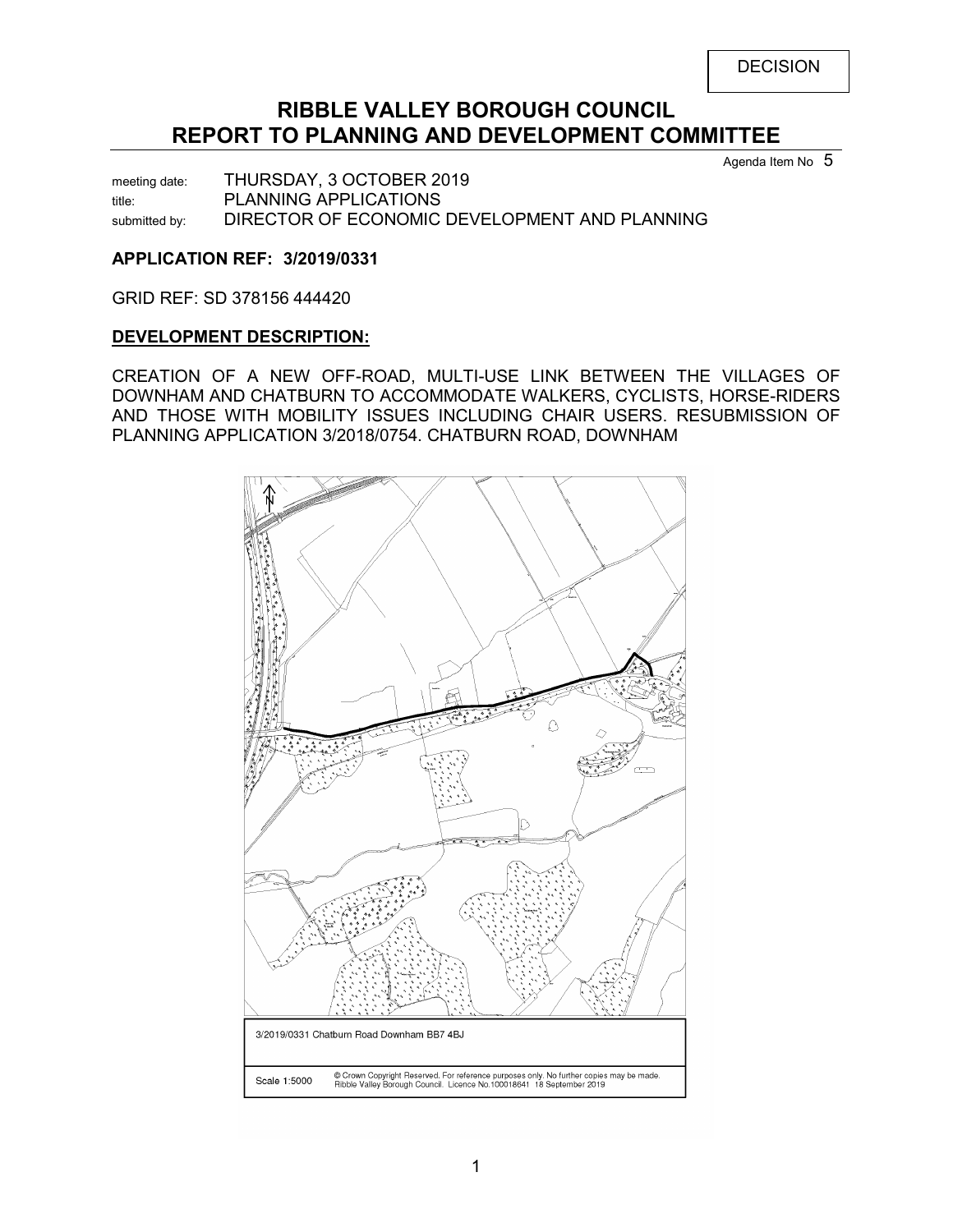# **RIBBLE VALLEY BOROUGH COUNCIL REPORT TO PLANNING AND DEVELOPMENT COMMITTEE**

Agenda Item No 5

meeting date: THURSDAY, 3 OCTOBER 2019 title: PLANNING APPLICATIONS submitted by: DIRECTOR OF ECONOMIC DEVELOPMENT AND PLANNING

# <span id="page-1-0"></span>**APPLICATION REF: 3/2019/0331**

GRID REF: SD 378156 444420

### **DEVELOPMENT DESCRIPTION:**

CREATION OF A NEW OFF-ROAD, MULTI-USE LINK BETWEEN THE VILLAGES OF DOWNHAM AND CHATBURN TO ACCOMMODATE WALKERS, CYCLISTS, HORSE-RIDERS AND THOSE WITH MOBILITY ISSUES INCLUDING CHAIR USERS. RESUBMISSION OF PLANNING APPLICATION 3/2018/0754. CHATBURN ROAD, DOWNHAM

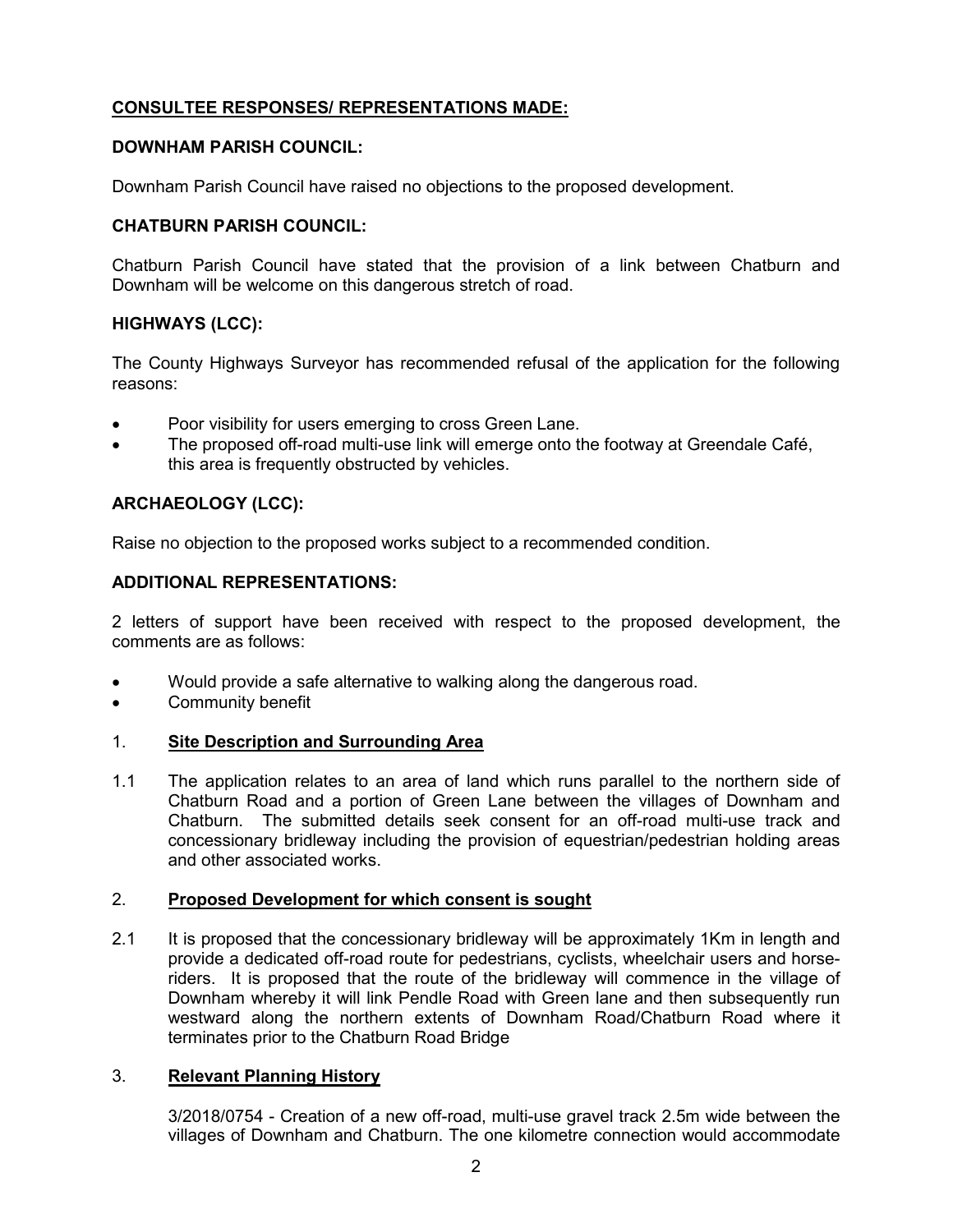# **CONSULTEE RESPONSES/ REPRESENTATIONS MADE:**

### **DOWNHAM PARISH COUNCIL:**

Downham Parish Council have raised no objections to the proposed development.

# **CHATBURN PARISH COUNCIL:**

Chatburn Parish Council have stated that the provision of a link between Chatburn and Downham will be welcome on this dangerous stretch of road.

# **HIGHWAYS (LCC):**

The County Highways Surveyor has recommended refusal of the application for the following reasons:

- Poor visibility for users emerging to cross Green Lane.
- The proposed off-road multi-use link will emerge onto the footway at Greendale Café, this area is frequently obstructed by vehicles.

# **ARCHAEOLOGY (LCC):**

Raise no objection to the proposed works subject to a recommended condition.

### **ADDITIONAL REPRESENTATIONS:**

2 letters of support have been received with respect to the proposed development, the comments are as follows:

- Would provide a safe alternative to walking along the dangerous road.
- Community benefit

### 1. **Site Description and Surrounding Area**

1.1 The application relates to an area of land which runs parallel to the northern side of Chatburn Road and a portion of Green Lane between the villages of Downham and Chatburn. The submitted details seek consent for an off-road multi-use track and concessionary bridleway including the provision of equestrian/pedestrian holding areas and other associated works.

# 2. **Proposed Development for which consent is sought**

2.1 It is proposed that the concessionary bridleway will be approximately 1Km in length and provide a dedicated off-road route for pedestrians, cyclists, wheelchair users and horseriders. It is proposed that the route of the bridleway will commence in the village of Downham whereby it will link Pendle Road with Green lane and then subsequently run westward along the northern extents of Downham Road/Chatburn Road where it terminates prior to the Chatburn Road Bridge

### 3. **Relevant Planning History**

3/2018/0754 - Creation of a new off-road, multi-use gravel track 2.5m wide between the villages of Downham and Chatburn. The one kilometre connection would accommodate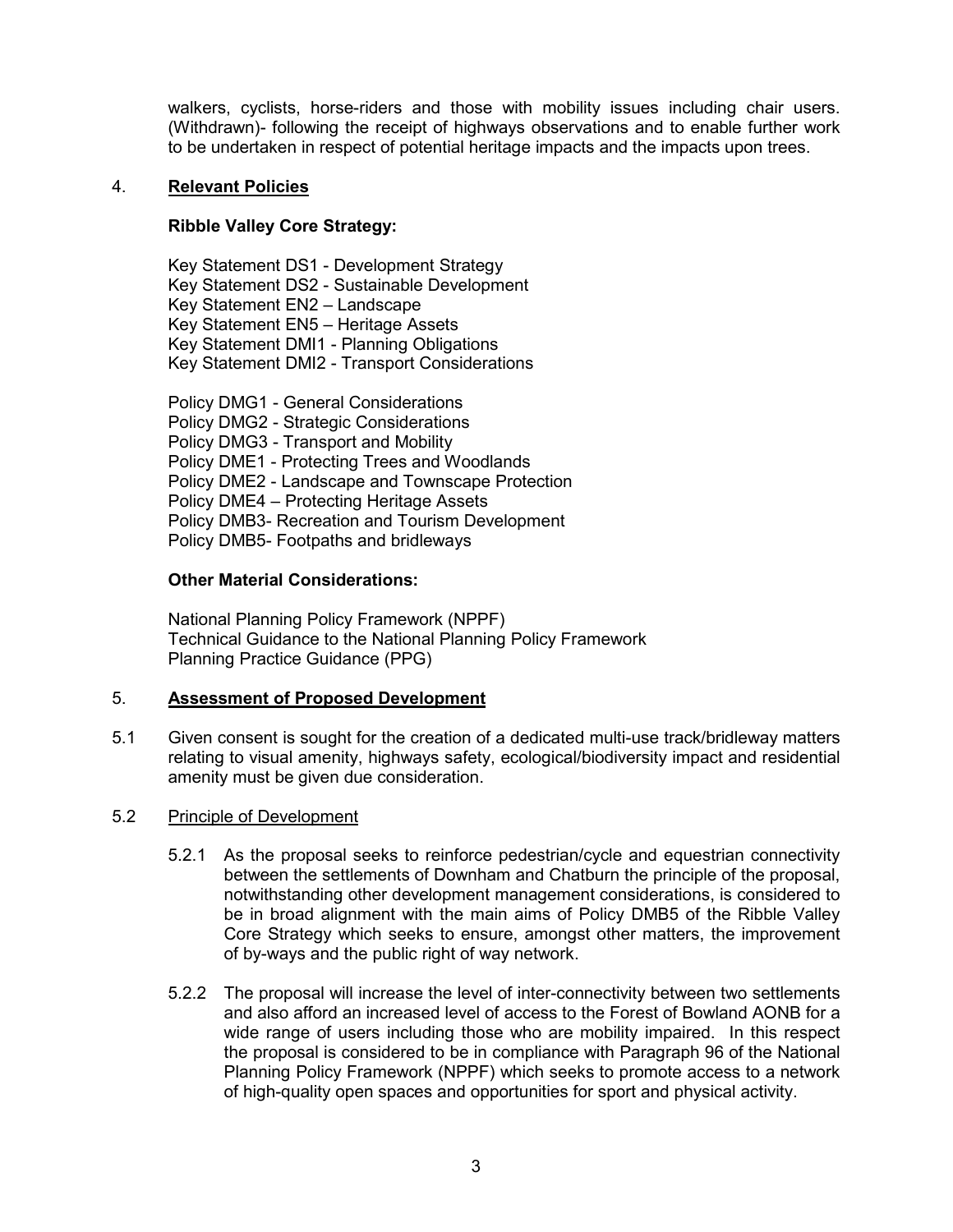walkers, cyclists, horse-riders and those with mobility issues including chair users. (Withdrawn)- following the receipt of highways observations and to enable further work to be undertaken in respect of potential heritage impacts and the impacts upon trees.

### 4. **Relevant Policies**

### **Ribble Valley Core Strategy:**

Key Statement DS1 - Development Strategy Key Statement DS2 - Sustainable Development Key Statement EN2 – Landscape Key Statement EN5 – Heritage Assets Key Statement DMI1 - Planning Obligations Key Statement DMI2 - Transport Considerations

Policy DMG1 - General Considerations Policy DMG2 - Strategic Considerations Policy DMG3 - Transport and Mobility Policy DME1 - Protecting Trees and Woodlands Policy DME2 - Landscape and Townscape Protection Policy DME4 – Protecting Heritage Assets Policy DMB3- Recreation and Tourism Development Policy DMB5- Footpaths and bridleways

#### **Other Material Considerations:**

National Planning Policy Framework (NPPF) Technical Guidance to the National Planning Policy Framework Planning Practice Guidance (PPG)

### 5. **Assessment of Proposed Development**

5.1 Given consent is sought for the creation of a dedicated multi-use track/bridleway matters relating to visual amenity, highways safety, ecological/biodiversity impact and residential amenity must be given due consideration.

#### 5.2 Principle of Development

- 5.2.1 As the proposal seeks to reinforce pedestrian/cycle and equestrian connectivity between the settlements of Downham and Chatburn the principle of the proposal, notwithstanding other development management considerations, is considered to be in broad alignment with the main aims of Policy DMB5 of the Ribble Valley Core Strategy which seeks to ensure, amongst other matters, the improvement of by-ways and the public right of way network.
- 5.2.2 The proposal will increase the level of inter-connectivity between two settlements and also afford an increased level of access to the Forest of Bowland AONB for a wide range of users including those who are mobility impaired. In this respect the proposal is considered to be in compliance with Paragraph 96 of the National Planning Policy Framework (NPPF) which seeks to promote access to a network of high-quality open spaces and opportunities for sport and physical activity.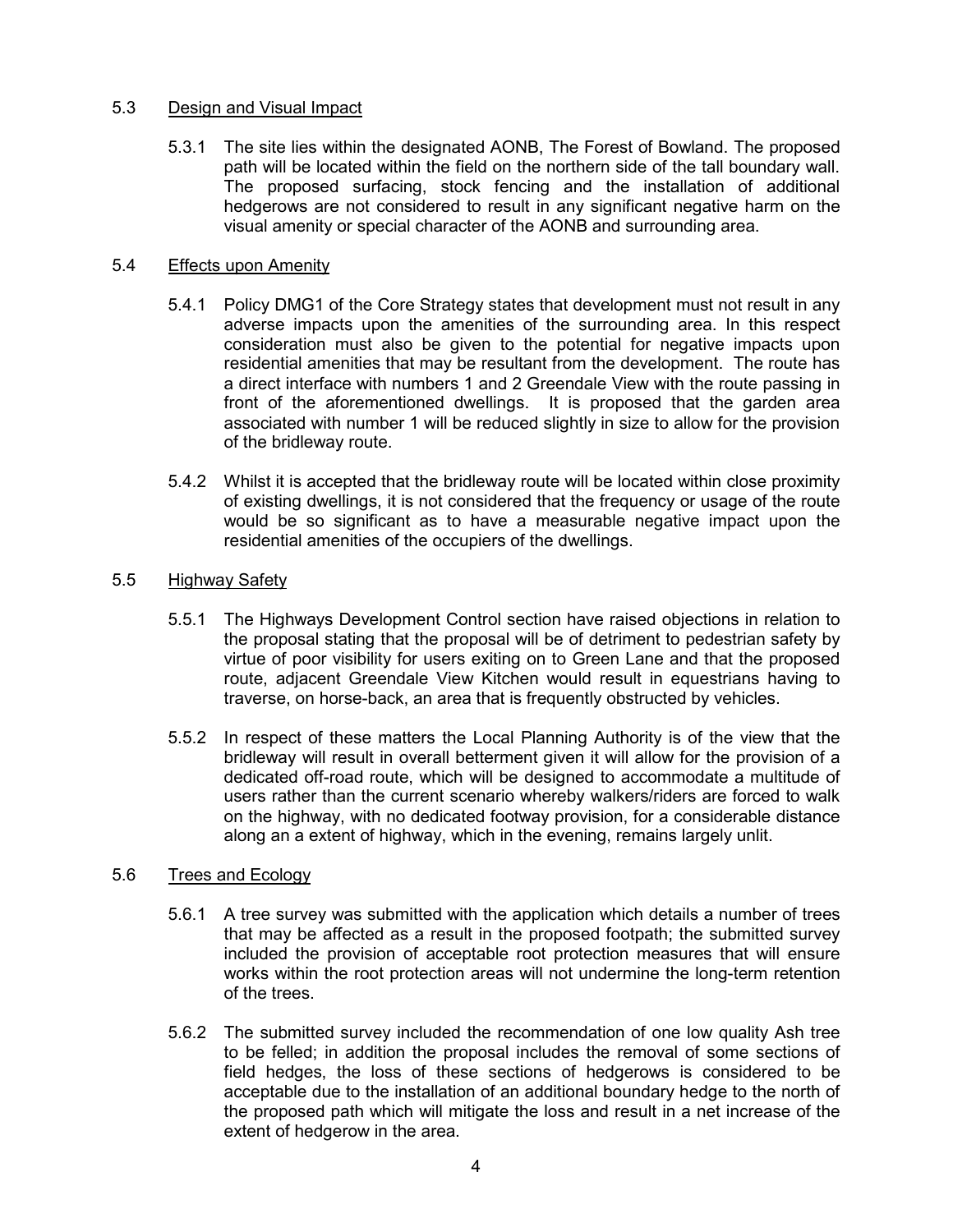# 5.3 Design and Visual Impact

5.3.1 The site lies within the designated AONB, The Forest of Bowland. The proposed path will be located within the field on the northern side of the tall boundary wall. The proposed surfacing, stock fencing and the installation of additional hedgerows are not considered to result in any significant negative harm on the visual amenity or special character of the AONB and surrounding area.

### 5.4 Effects upon Amenity

- 5.4.1 Policy DMG1 of the Core Strategy states that development must not result in any adverse impacts upon the amenities of the surrounding area. In this respect consideration must also be given to the potential for negative impacts upon residential amenities that may be resultant from the development. The route has a direct interface with numbers 1 and 2 Greendale View with the route passing in front of the aforementioned dwellings. It is proposed that the garden area associated with number 1 will be reduced slightly in size to allow for the provision of the bridleway route.
- 5.4.2 Whilst it is accepted that the bridleway route will be located within close proximity of existing dwellings, it is not considered that the frequency or usage of the route would be so significant as to have a measurable negative impact upon the residential amenities of the occupiers of the dwellings.

### 5.5 Highway Safety

- 5.5.1 The Highways Development Control section have raised objections in relation to the proposal stating that the proposal will be of detriment to pedestrian safety by virtue of poor visibility for users exiting on to Green Lane and that the proposed route, adjacent Greendale View Kitchen would result in equestrians having to traverse, on horse-back, an area that is frequently obstructed by vehicles.
- 5.5.2 In respect of these matters the Local Planning Authority is of the view that the bridleway will result in overall betterment given it will allow for the provision of a dedicated off-road route, which will be designed to accommodate a multitude of users rather than the current scenario whereby walkers/riders are forced to walk on the highway, with no dedicated footway provision, for a considerable distance along an a extent of highway, which in the evening, remains largely unlit.

### 5.6 Trees and Ecology

- 5.6.1 A tree survey was submitted with the application which details a number of trees that may be affected as a result in the proposed footpath; the submitted survey included the provision of acceptable root protection measures that will ensure works within the root protection areas will not undermine the long-term retention of the trees.
- 5.6.2 The submitted survey included the recommendation of one low quality Ash tree to be felled; in addition the proposal includes the removal of some sections of field hedges, the loss of these sections of hedgerows is considered to be acceptable due to the installation of an additional boundary hedge to the north of the proposed path which will mitigate the loss and result in a net increase of the extent of hedgerow in the area.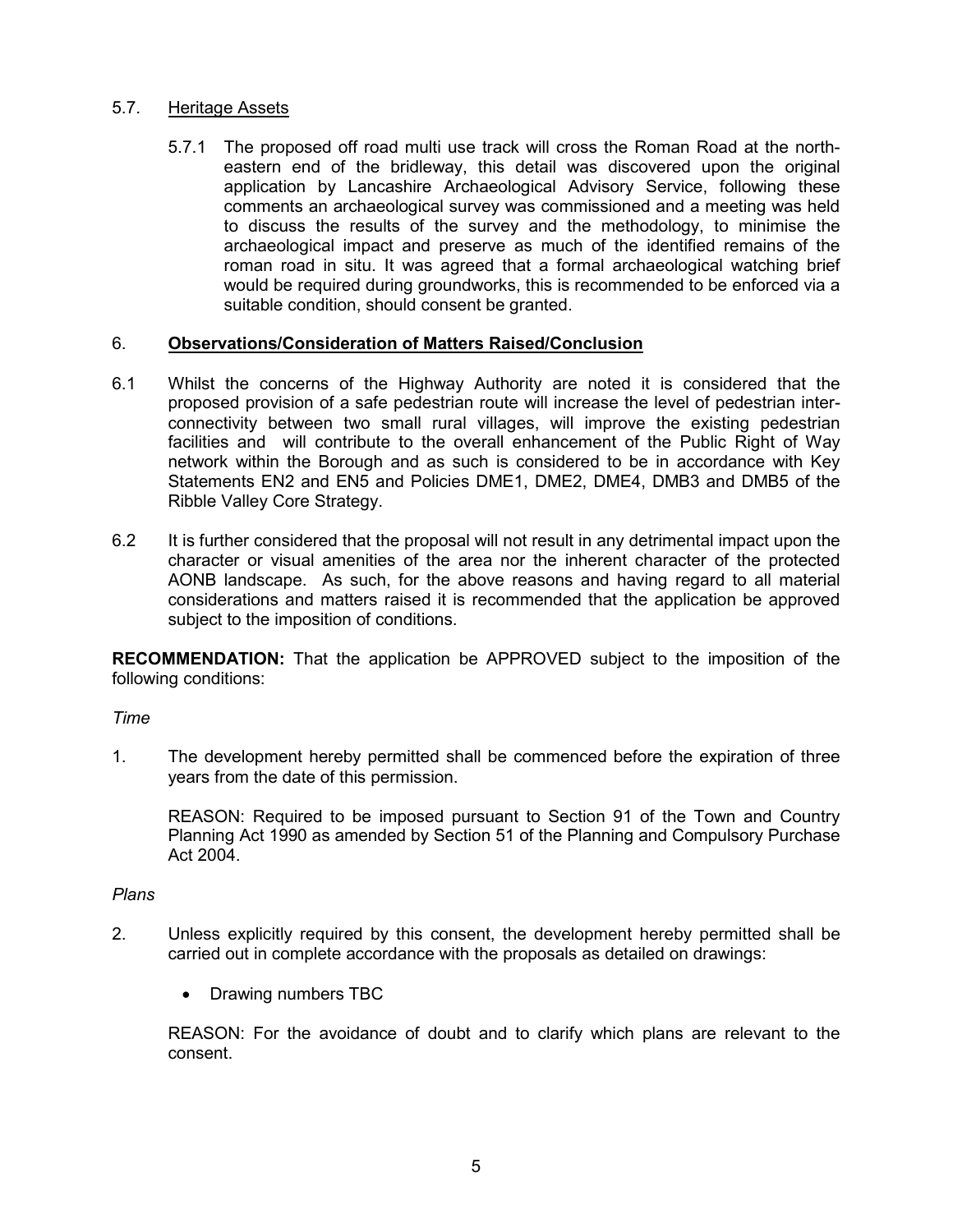# 5.7. Heritage Assets

5.7.1 The proposed off road multi use track will cross the Roman Road at the northeastern end of the bridleway, this detail was discovered upon the original application by Lancashire Archaeological Advisory Service, following these comments an archaeological survey was commissioned and a meeting was held to discuss the results of the survey and the methodology, to minimise the archaeological impact and preserve as much of the identified remains of the roman road in situ. It was agreed that a formal archaeological watching brief would be required during groundworks, this is recommended to be enforced via a suitable condition, should consent be granted.

### 6. **Observations/Consideration of Matters Raised/Conclusion**

- 6.1 Whilst the concerns of the Highway Authority are noted it is considered that the proposed provision of a safe pedestrian route will increase the level of pedestrian interconnectivity between two small rural villages, will improve the existing pedestrian facilities and will contribute to the overall enhancement of the Public Right of Way network within the Borough and as such is considered to be in accordance with Key Statements EN2 and EN5 and Policies DME1, DME2, DME4, DMB3 and DMB5 of the Ribble Valley Core Strategy.
- 6.2 It is further considered that the proposal will not result in any detrimental impact upon the character or visual amenities of the area nor the inherent character of the protected AONB landscape. As such, for the above reasons and having regard to all material considerations and matters raised it is recommended that the application be approved subject to the imposition of conditions.

**RECOMMENDATION:** That the application be APPROVED subject to the imposition of the following conditions:

*Time*

1. The development hereby permitted shall be commenced before the expiration of three years from the date of this permission.

REASON: Required to be imposed pursuant to Section 91 of the Town and Country Planning Act 1990 as amended by Section 51 of the Planning and Compulsory Purchase Act 2004.

### *Plans*

- 2. Unless explicitly required by this consent, the development hereby permitted shall be carried out in complete accordance with the proposals as detailed on drawings:
	- Drawing numbers TBC

REASON: For the avoidance of doubt and to clarify which plans are relevant to the consent.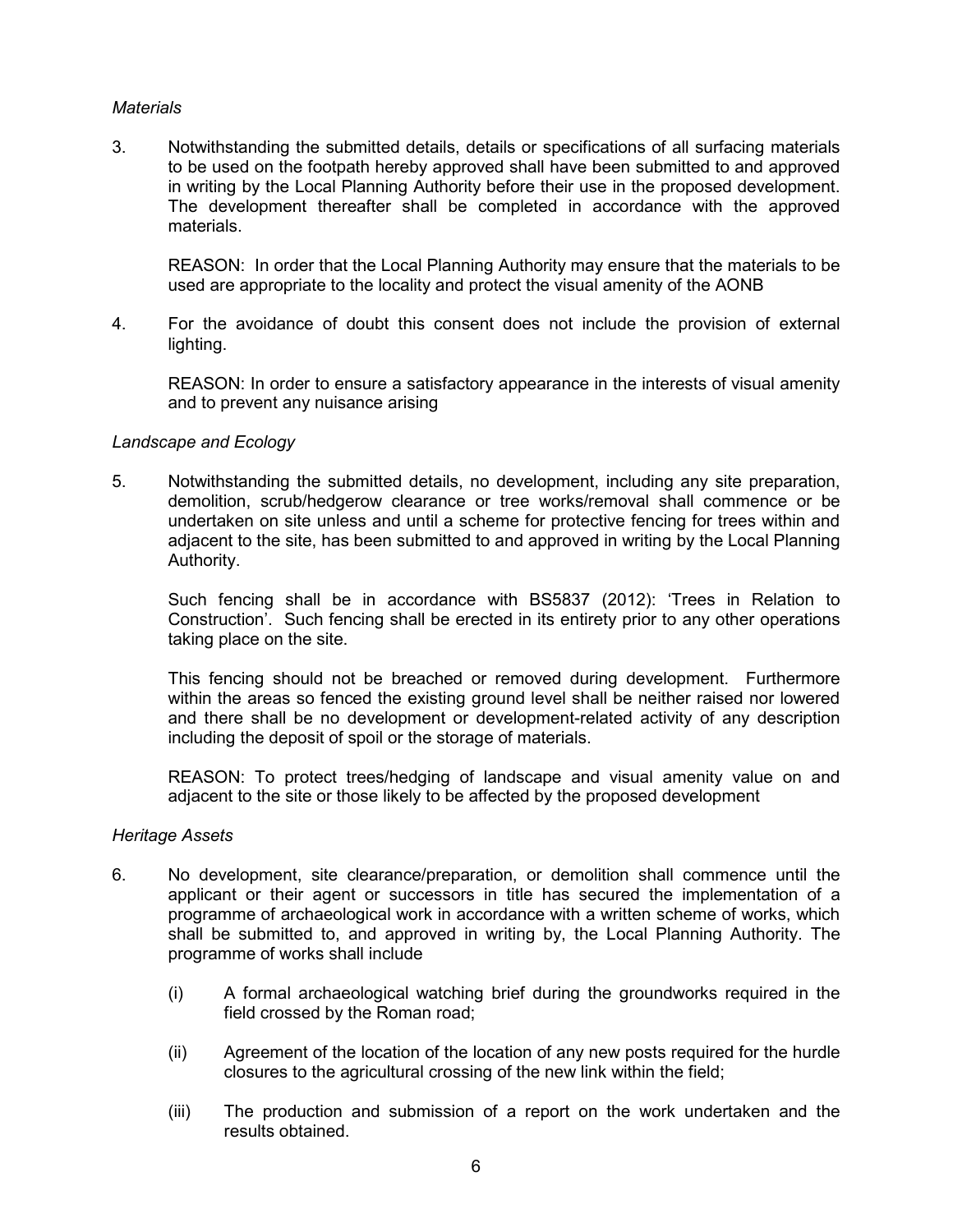### *Materials*

3. Notwithstanding the submitted details, details or specifications of all surfacing materials to be used on the footpath hereby approved shall have been submitted to and approved in writing by the Local Planning Authority before their use in the proposed development. The development thereafter shall be completed in accordance with the approved materials.

REASON: In order that the Local Planning Authority may ensure that the materials to be used are appropriate to the locality and protect the visual amenity of the AONB

4. For the avoidance of doubt this consent does not include the provision of external lighting.

REASON: In order to ensure a satisfactory appearance in the interests of visual amenity and to prevent any nuisance arising

#### *Landscape and Ecology*

5. Notwithstanding the submitted details, no development, including any site preparation, demolition, scrub/hedgerow clearance or tree works/removal shall commence or be undertaken on site unless and until a scheme for protective fencing for trees within and adjacent to the site, has been submitted to and approved in writing by the Local Planning Authority.

Such fencing shall be in accordance with BS5837 (2012): 'Trees in Relation to Construction'. Such fencing shall be erected in its entirety prior to any other operations taking place on the site.

This fencing should not be breached or removed during development. Furthermore within the areas so fenced the existing ground level shall be neither raised nor lowered and there shall be no development or development-related activity of any description including the deposit of spoil or the storage of materials.

REASON: To protect trees/hedging of landscape and visual amenity value on and adjacent to the site or those likely to be affected by the proposed development

#### *Heritage Assets*

- 6. No development, site clearance/preparation, or demolition shall commence until the applicant or their agent or successors in title has secured the implementation of a programme of archaeological work in accordance with a written scheme of works, which shall be submitted to, and approved in writing by, the Local Planning Authority. The programme of works shall include
	- (i) A formal archaeological watching brief during the groundworks required in the field crossed by the Roman road;
	- (ii) Agreement of the location of the location of any new posts required for the hurdle closures to the agricultural crossing of the new link within the field;
	- (iii) The production and submission of a report on the work undertaken and the results obtained.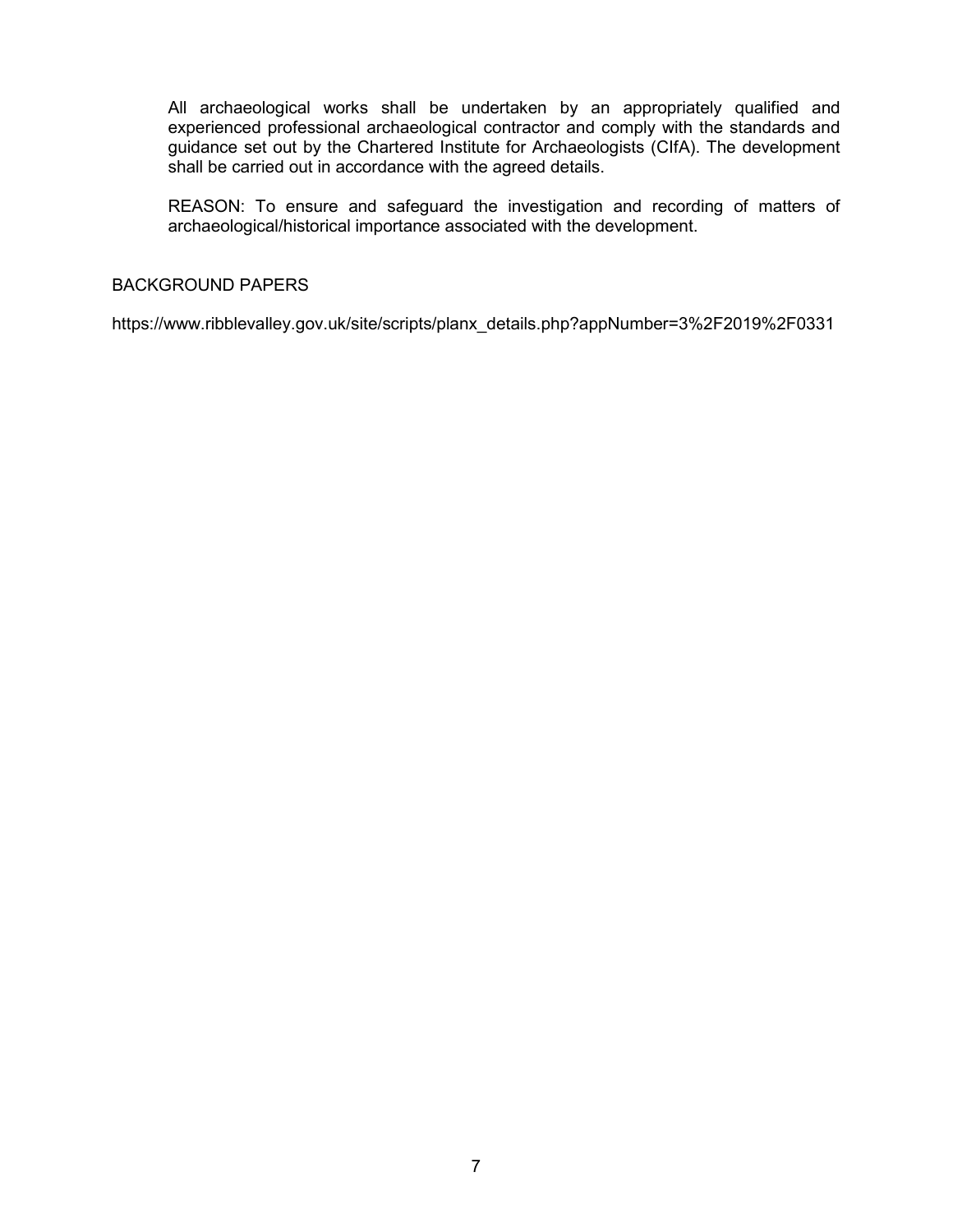All archaeological works shall be undertaken by an appropriately qualified and experienced professional archaeological contractor and comply with the standards and guidance set out by the Chartered Institute for Archaeologists (CIfA). The development shall be carried out in accordance with the agreed details.

REASON: To ensure and safeguard the investigation and recording of matters of archaeological/historical importance associated with the development.

### BACKGROUND PAPERS

https://www.ribblevalley.gov.uk/site/scripts/planx\_details.php?appNumber=3%2F2019%2F0331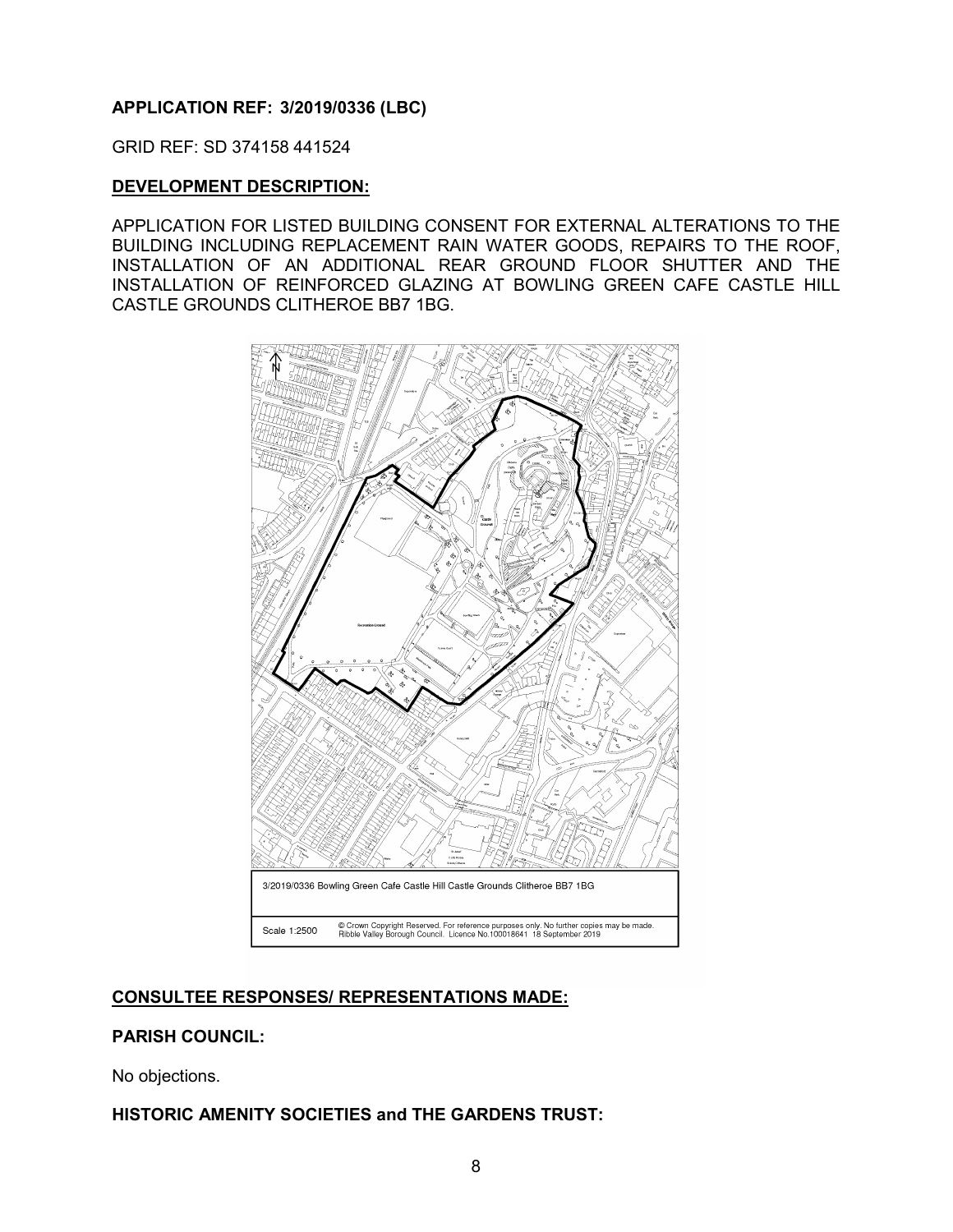### <span id="page-8-0"></span>**APPLICATION REF: 3/2019/0336 (LBC)**

GRID REF: SD 374158 441524

#### **DEVELOPMENT DESCRIPTION:**

APPLICATION FOR LISTED BUILDING CONSENT FOR EXTERNAL ALTERATIONS TO THE BUILDING INCLUDING REPLACEMENT RAIN WATER GOODS, REPAIRS TO THE ROOF, INSTALLATION OF AN ADDITIONAL REAR GROUND FLOOR SHUTTER AND THE INSTALLATION OF REINFORCED GLAZING AT BOWLING GREEN CAFE CASTLE HILL CASTLE GROUNDS CLITHEROE BB7 1BG.



### **CONSULTEE RESPONSES/ REPRESENTATIONS MADE:**

### **PARISH COUNCIL:**

No objections.

# **HISTORIC AMENITY SOCIETIES and THE GARDENS TRUST:**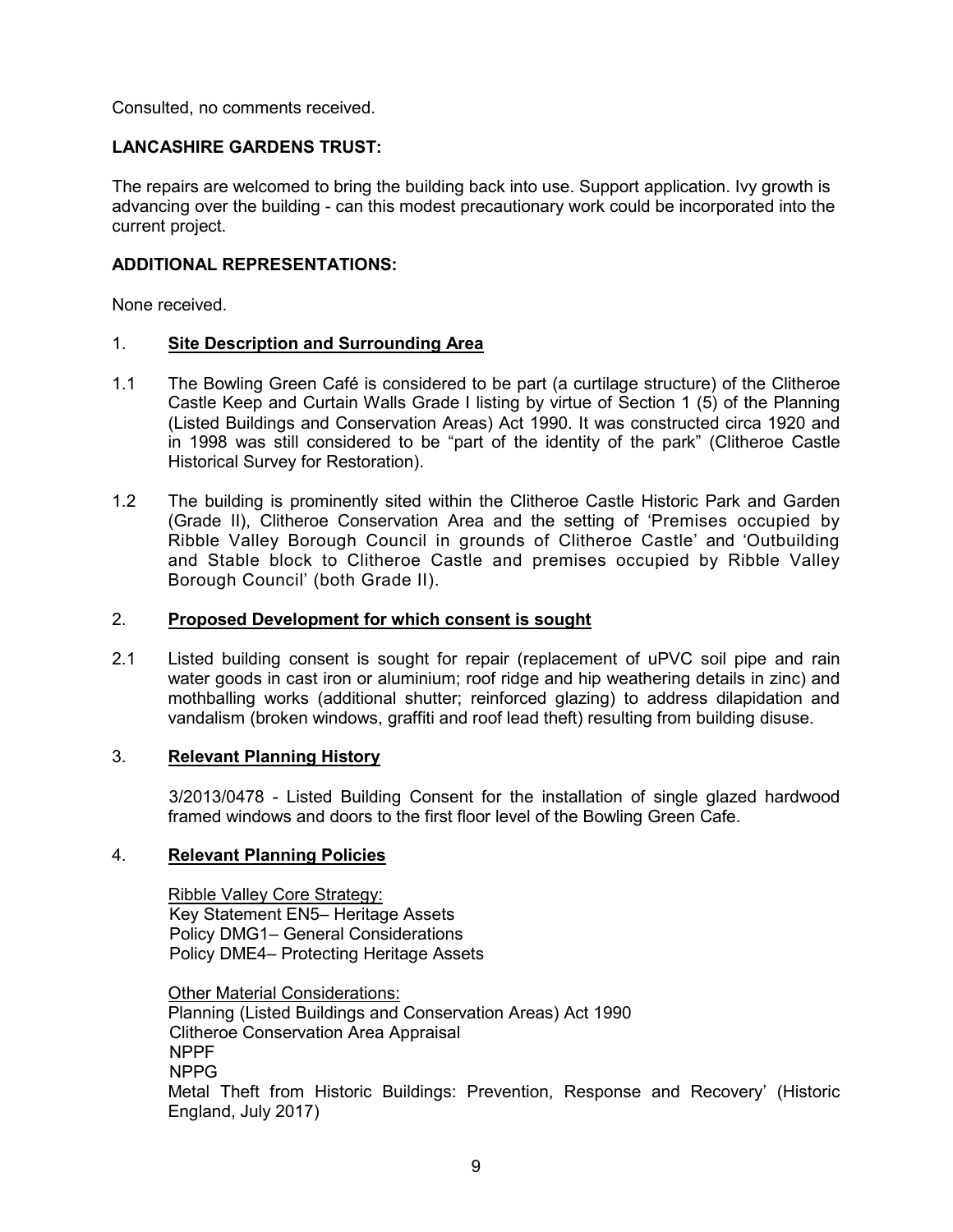Consulted, no comments received.

# **LANCASHIRE GARDENS TRUST:**

The repairs are welcomed to bring the building back into use. Support application. Ivy growth is advancing over the building - can this modest precautionary work could be incorporated into the current project.

### **ADDITIONAL REPRESENTATIONS:**

None received.

### 1. **Site Description and Surrounding Area**

- 1.1 The Bowling Green Café is considered to be part (a curtilage structure) of the Clitheroe Castle Keep and Curtain Walls Grade I listing by virtue of Section 1 (5) of the Planning (Listed Buildings and Conservation Areas) Act 1990. It was constructed circa 1920 and in 1998 was still considered to be "part of the identity of the park" (Clitheroe Castle Historical Survey for Restoration).
- 1.2 The building is prominently sited within the Clitheroe Castle Historic Park and Garden (Grade II), Clitheroe Conservation Area and the setting of 'Premises occupied by Ribble Valley Borough Council in grounds of Clitheroe Castle' and 'Outbuilding and Stable block to Clitheroe Castle and premises occupied by Ribble Valley Borough Council' (both Grade II).

### 2. **Proposed Development for which consent is sought**

2.1 Listed building consent is sought for repair (replacement of uPVC soil pipe and rain water goods in cast iron or aluminium; roof ridge and hip weathering details in zinc) and mothballing works (additional shutter; reinforced glazing) to address dilapidation and vandalism (broken windows, graffiti and roof lead theft) resulting from building disuse.

#### 3. **Relevant Planning History**

 3/2013/0478 - Listed Building Consent for the installation of single glazed hardwood framed windows and doors to the first floor level of the Bowling Green Cafe.

### 4. **Relevant Planning Policies**

Ribble Valley Core Strategy: Key Statement EN5– Heritage Assets Policy DMG1– General Considerations Policy DME4– Protecting Heritage Assets

Other Material Considerations: Planning (Listed Buildings and Conservation Areas) Act 1990 Clitheroe Conservation Area Appraisal NPPF NPPG Metal Theft from Historic Buildings: Prevention, Response and Recovery' (Historic England, July 2017)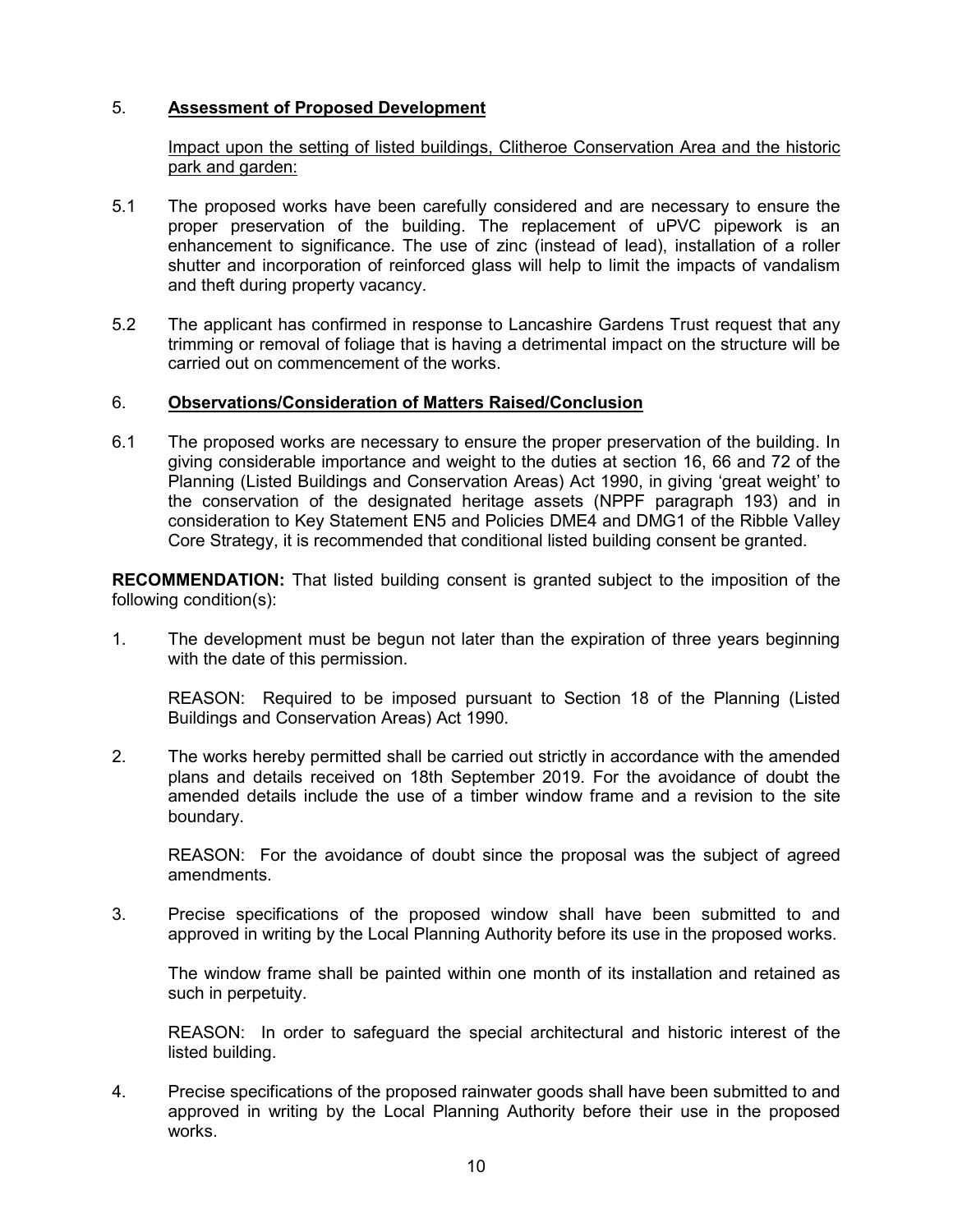# 5. **Assessment of Proposed Development**

Impact upon the setting of listed buildings, Clitheroe Conservation Area and the historic park and garden:

- 5.1 The proposed works have been carefully considered and are necessary to ensure the proper preservation of the building. The replacement of uPVC pipework is an enhancement to significance. The use of zinc (instead of lead), installation of a roller shutter and incorporation of reinforced glass will help to limit the impacts of vandalism and theft during property vacancy.
- 5.2 The applicant has confirmed in response to Lancashire Gardens Trust request that any trimming or removal of foliage that is having a detrimental impact on the structure will be carried out on commencement of the works.

### 6. **Observations/Consideration of Matters Raised/Conclusion**

6.1 The proposed works are necessary to ensure the proper preservation of the building. In giving considerable importance and weight to the duties at section 16, 66 and 72 of the Planning (Listed Buildings and Conservation Areas) Act 1990, in giving 'great weight' to the conservation of the designated heritage assets (NPPF paragraph 193) and in consideration to Key Statement EN5 and Policies DME4 and DMG1 of the Ribble Valley Core Strategy, it is recommended that conditional listed building consent be granted.

**RECOMMENDATION:** That listed building consent is granted subject to the imposition of the following condition(s):

1. The development must be begun not later than the expiration of three years beginning with the date of this permission.

REASON: Required to be imposed pursuant to Section 18 of the Planning (Listed Buildings and Conservation Areas) Act 1990.

2. The works hereby permitted shall be carried out strictly in accordance with the amended plans and details received on 18th September 2019. For the avoidance of doubt the amended details include the use of a timber window frame and a revision to the site boundary.

REASON: For the avoidance of doubt since the proposal was the subject of agreed amendments.

3. Precise specifications of the proposed window shall have been submitted to and approved in writing by the Local Planning Authority before its use in the proposed works.

The window frame shall be painted within one month of its installation and retained as such in perpetuity.

REASON: In order to safeguard the special architectural and historic interest of the listed building.

4. Precise specifications of the proposed rainwater goods shall have been submitted to and approved in writing by the Local Planning Authority before their use in the proposed works.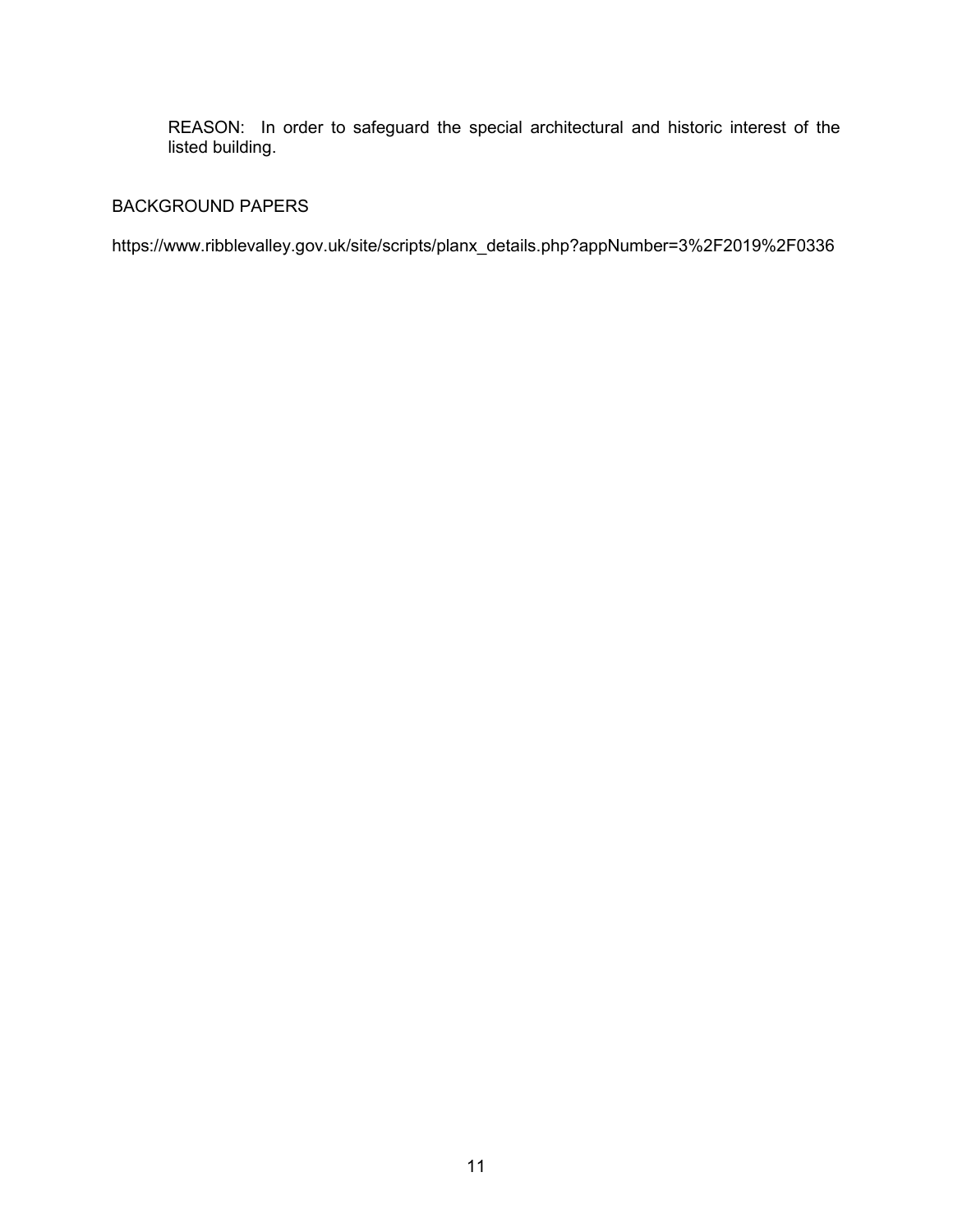REASON: In order to safeguard the special architectural and historic interest of the listed building.

# BACKGROUND PAPERS

https://www.ribblevalley.gov.uk/site/scripts/planx\_details.php?appNumber=3%2F2019%2F0336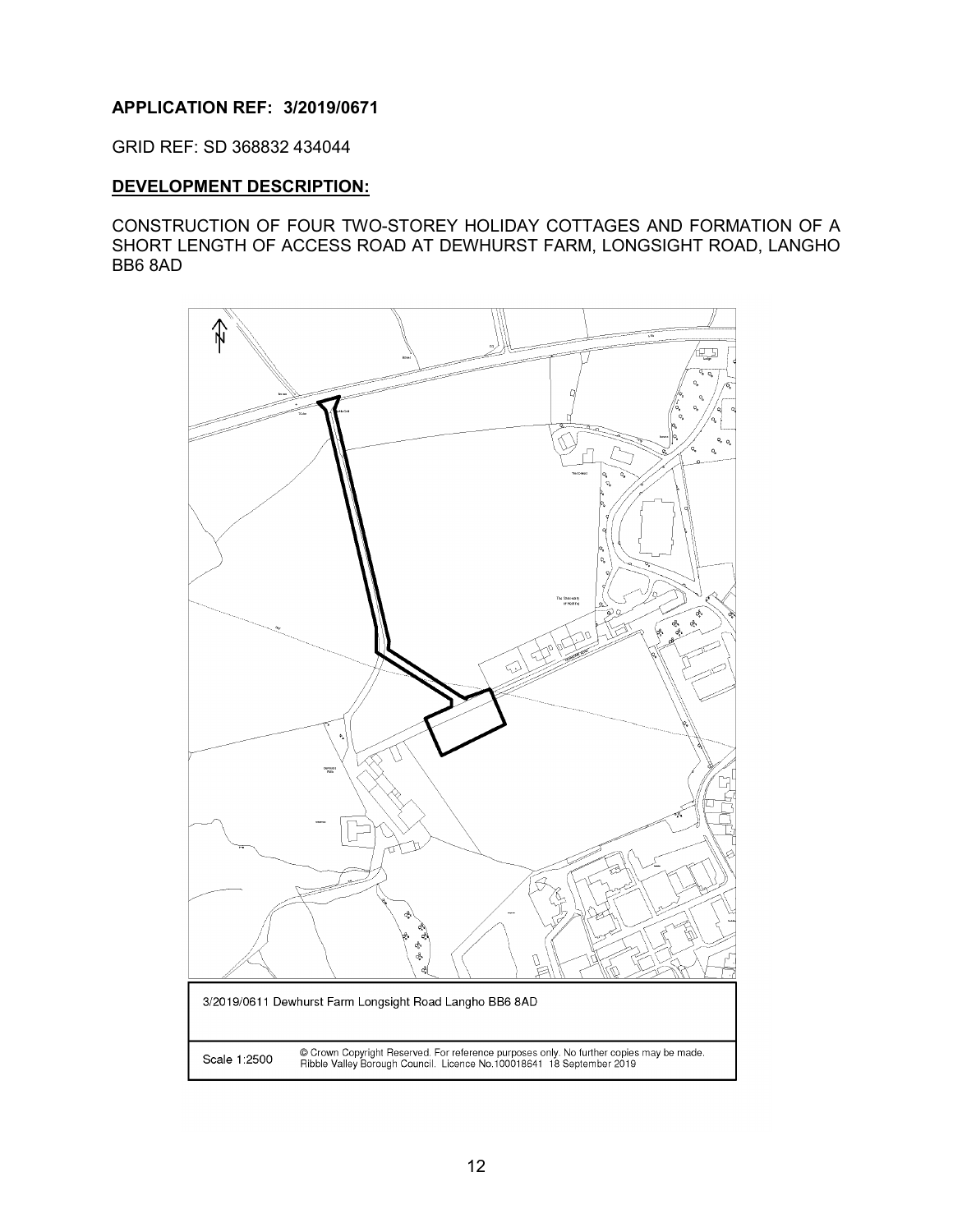# <span id="page-12-0"></span>**APPLICATION REF: 3/2019/0671**

GRID REF: SD 368832 434044

# **DEVELOPMENT DESCRIPTION:**

CONSTRUCTION OF FOUR TWO-STOREY HOLIDAY COTTAGES AND FORMATION OF A SHORT LENGTH OF ACCESS ROAD AT DEWHURST FARM, LONGSIGHT ROAD, LANGHO BB6 8AD

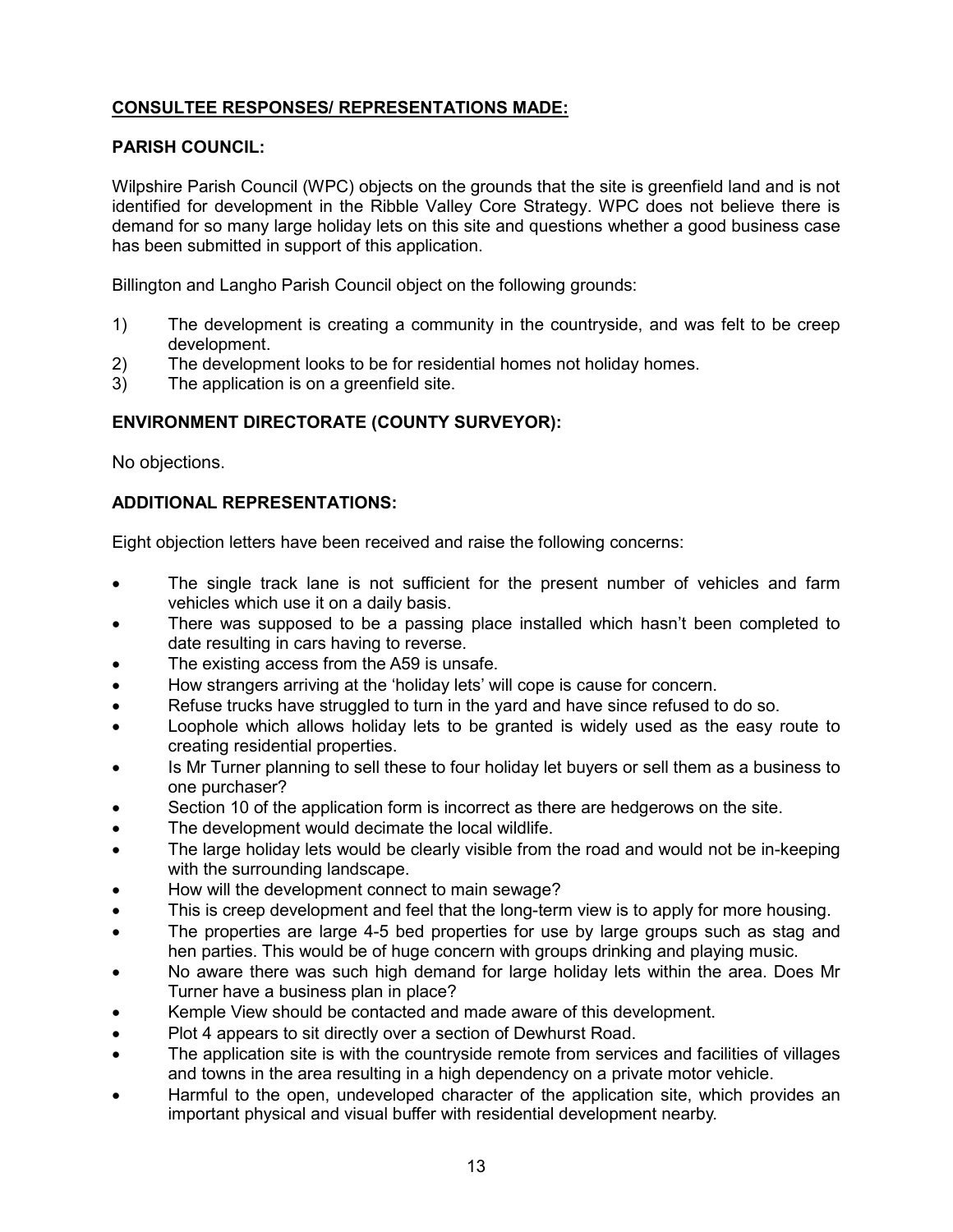# **CONSULTEE RESPONSES/ REPRESENTATIONS MADE:**

# **PARISH COUNCIL:**

Wilpshire Parish Council (WPC) objects on the grounds that the site is greenfield land and is not identified for development in the Ribble Valley Core Strategy. WPC does not believe there is demand for so many large holiday lets on this site and questions whether a good business case has been submitted in support of this application.

Billington and Langho Parish Council object on the following grounds:

- 1) The development is creating a community in the countryside, and was felt to be creep development.
- 2) The development looks to be for residential homes not holiday homes.
- 3) The application is on a greenfield site.

# **ENVIRONMENT DIRECTORATE (COUNTY SURVEYOR):**

No objections.

# **ADDITIONAL REPRESENTATIONS:**

Eight objection letters have been received and raise the following concerns:

- The single track lane is not sufficient for the present number of vehicles and farm vehicles which use it on a daily basis.
- There was supposed to be a passing place installed which hasn't been completed to date resulting in cars having to reverse.
- The existing access from the A59 is unsafe.
- How strangers arriving at the 'holiday lets' will cope is cause for concern.
- Refuse trucks have struggled to turn in the yard and have since refused to do so.
- Loophole which allows holiday lets to be granted is widely used as the easy route to creating residential properties.
- Is Mr Turner planning to sell these to four holiday let buyers or sell them as a business to one purchaser?
- Section 10 of the application form is incorrect as there are hedgerows on the site.
- The development would decimate the local wildlife.
- The large holiday lets would be clearly visible from the road and would not be in-keeping with the surrounding landscape.
- How will the development connect to main sewage?
- This is creep development and feel that the long-term view is to apply for more housing.
- The properties are large 4-5 bed properties for use by large groups such as stag and hen parties. This would be of huge concern with groups drinking and playing music.
- No aware there was such high demand for large holiday lets within the area. Does Mr Turner have a business plan in place?
- Kemple View should be contacted and made aware of this development.
- Plot 4 appears to sit directly over a section of Dewhurst Road.
- The application site is with the countryside remote from services and facilities of villages and towns in the area resulting in a high dependency on a private motor vehicle.
- Harmful to the open, undeveloped character of the application site, which provides an important physical and visual buffer with residential development nearby.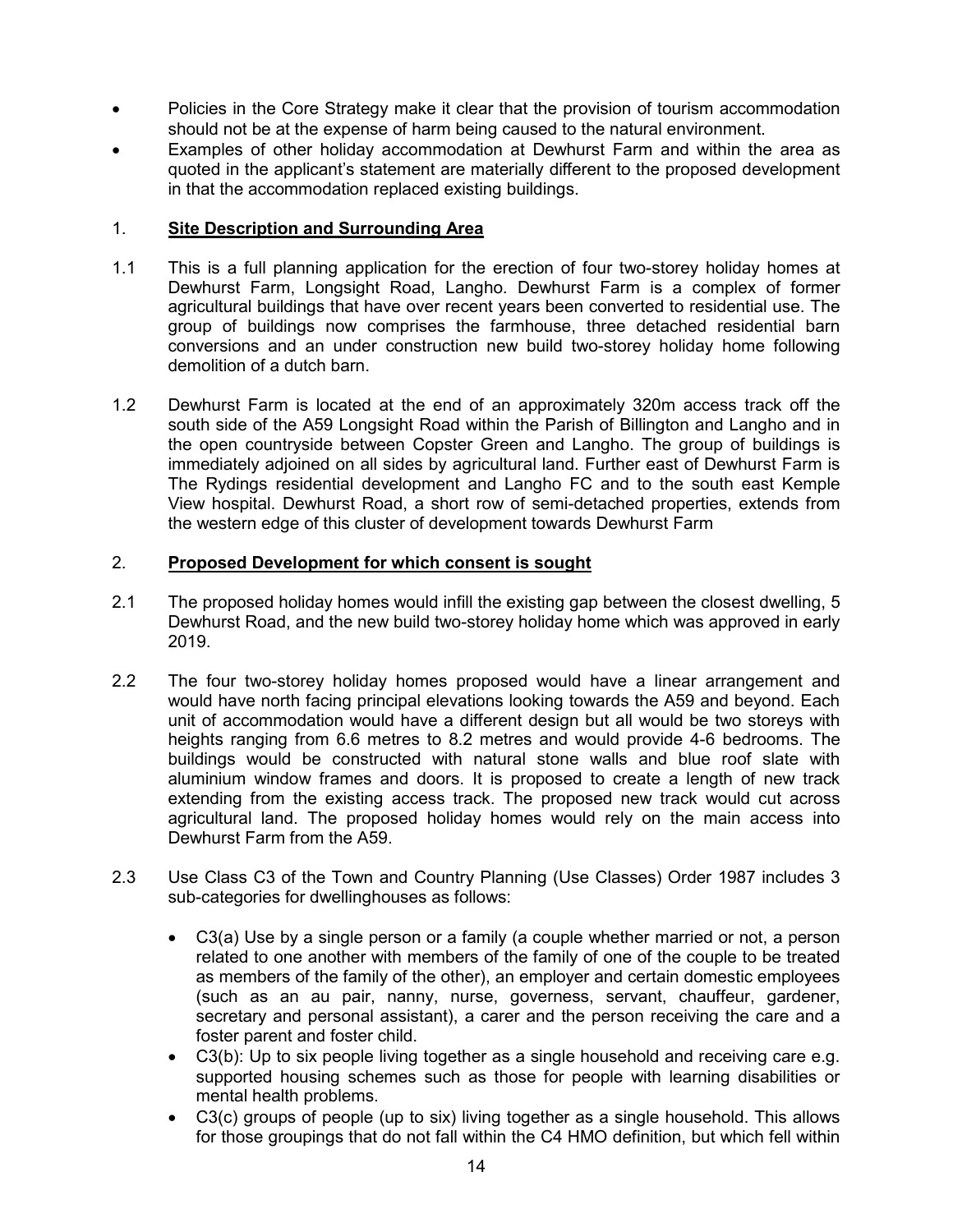- Policies in the Core Strategy make it clear that the provision of tourism accommodation should not be at the expense of harm being caused to the natural environment.
- Examples of other holiday accommodation at Dewhurst Farm and within the area as quoted in the applicant's statement are materially different to the proposed development in that the accommodation replaced existing buildings.

# 1. **Site Description and Surrounding Area**

- 1.1 This is a full planning application for the erection of four two-storey holiday homes at Dewhurst Farm, Longsight Road, Langho. Dewhurst Farm is a complex of former agricultural buildings that have over recent years been converted to residential use. The group of buildings now comprises the farmhouse, three detached residential barn conversions and an under construction new build two-storey holiday home following demolition of a dutch barn.
- 1.2 Dewhurst Farm is located at the end of an approximately 320m access track off the south side of the A59 Longsight Road within the Parish of Billington and Langho and in the open countryside between Copster Green and Langho. The group of buildings is immediately adjoined on all sides by agricultural land. Further east of Dewhurst Farm is The Rydings residential development and Langho FC and to the south east Kemple View hospital. Dewhurst Road, a short row of semi-detached properties, extends from the western edge of this cluster of development towards Dewhurst Farm

# 2. **Proposed Development for which consent is sought**

- 2.1 The proposed holiday homes would infill the existing gap between the closest dwelling, 5 Dewhurst Road, and the new build two-storey holiday home which was approved in early 2019.
- 2.2 The four two-storey holiday homes proposed would have a linear arrangement and would have north facing principal elevations looking towards the A59 and beyond. Each unit of accommodation would have a different design but all would be two storeys with heights ranging from 6.6 metres to 8.2 metres and would provide 4-6 bedrooms. The buildings would be constructed with natural stone walls and blue roof slate with aluminium window frames and doors. It is proposed to create a length of new track extending from the existing access track. The proposed new track would cut across agricultural land. The proposed holiday homes would rely on the main access into Dewhurst Farm from the A59.
- 2.3 Use Class C3 of the Town and Country Planning (Use Classes) Order 1987 includes 3 sub-categories for dwellinghouses as follows:
	- C3(a) Use by a single person or a family (a couple whether married or not, a person related to one another with members of the family of one of the couple to be treated as members of the family of the other), an employer and certain domestic employees (such as an au pair, nanny, nurse, governess, servant, chauffeur, gardener, secretary and personal assistant), a carer and the person receiving the care and a foster parent and foster child.
	- C3(b): Up to six people living together as a single household and receiving care e.g. supported housing schemes such as those for people with learning disabilities or mental health problems.
	- C3(c) groups of people (up to six) living together as a single household. This allows for those groupings that do not fall within the C4 HMO definition, but which fell within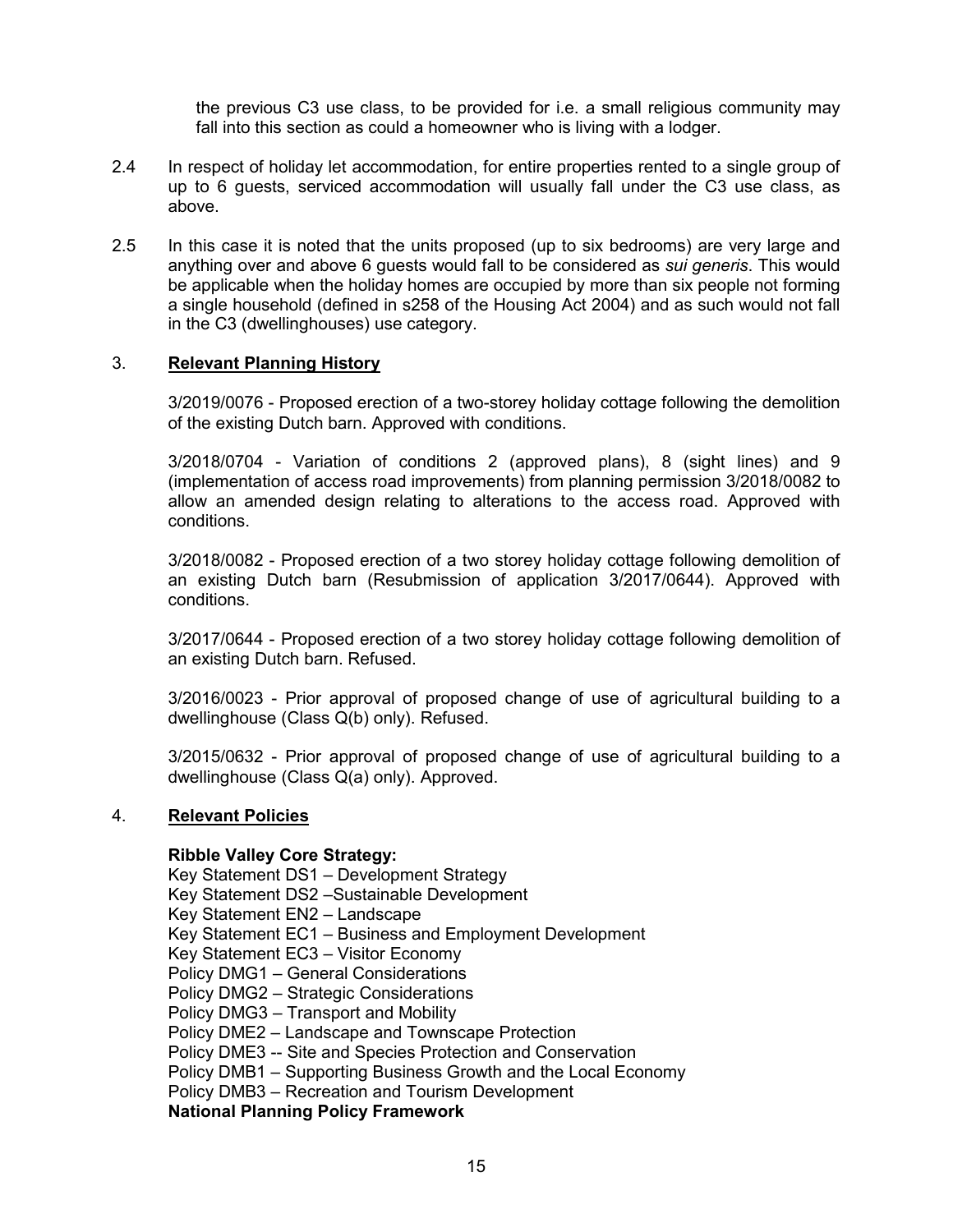the previous C3 use class, to be provided for i.e. a small religious community may fall into this section as could a homeowner who is living with a lodger.

- 2.4 In respect of holiday let accommodation, for entire properties rented to a single group of up to 6 guests, serviced accommodation will usually fall under the C3 use class, as above.
- 2.5 In this case it is noted that the units proposed (up to six bedrooms) are very large and anything over and above 6 guests would fall to be considered as *sui generis*. This would be applicable when the holiday homes are occupied by more than six people not forming a single household (defined in s258 of the Housing Act 2004) and as such would not fall in the C3 (dwellinghouses) use category.

### 3. **Relevant Planning History**

3/2019/0076 - Proposed erection of a two-storey holiday cottage following the demolition of the existing Dutch barn. Approved with conditions.

3/2018/0704 - Variation of conditions 2 (approved plans), 8 (sight lines) and 9 (implementation of access road improvements) from planning permission 3/2018/0082 to allow an amended design relating to alterations to the access road. Approved with conditions.

3/2018/0082 - Proposed erection of a two storey holiday cottage following demolition of an existing Dutch barn (Resubmission of application 3/2017/0644). Approved with conditions.

3/2017/0644 - Proposed erection of a two storey holiday cottage following demolition of an existing Dutch barn. Refused.

3/2016/0023 - Prior approval of proposed change of use of agricultural building to a dwellinghouse (Class Q(b) only). Refused.

3/2015/0632 - Prior approval of proposed change of use of agricultural building to a dwellinghouse (Class Q(a) only). Approved.

#### 4. **Relevant Policies**

#### **Ribble Valley Core Strategy:**

Key Statement DS1 – Development Strategy Key Statement DS2 –Sustainable Development Key Statement EN2 – Landscape Key Statement EC1 – Business and Employment Development Key Statement EC3 – Visitor Economy Policy DMG1 – General Considerations Policy DMG2 – Strategic Considerations Policy DMG3 – Transport and Mobility Policy DME2 – Landscape and Townscape Protection Policy DME3 -- Site and Species Protection and Conservation Policy DMB1 – Supporting Business Growth and the Local Economy Policy DMB3 – Recreation and Tourism Development

**National Planning Policy Framework**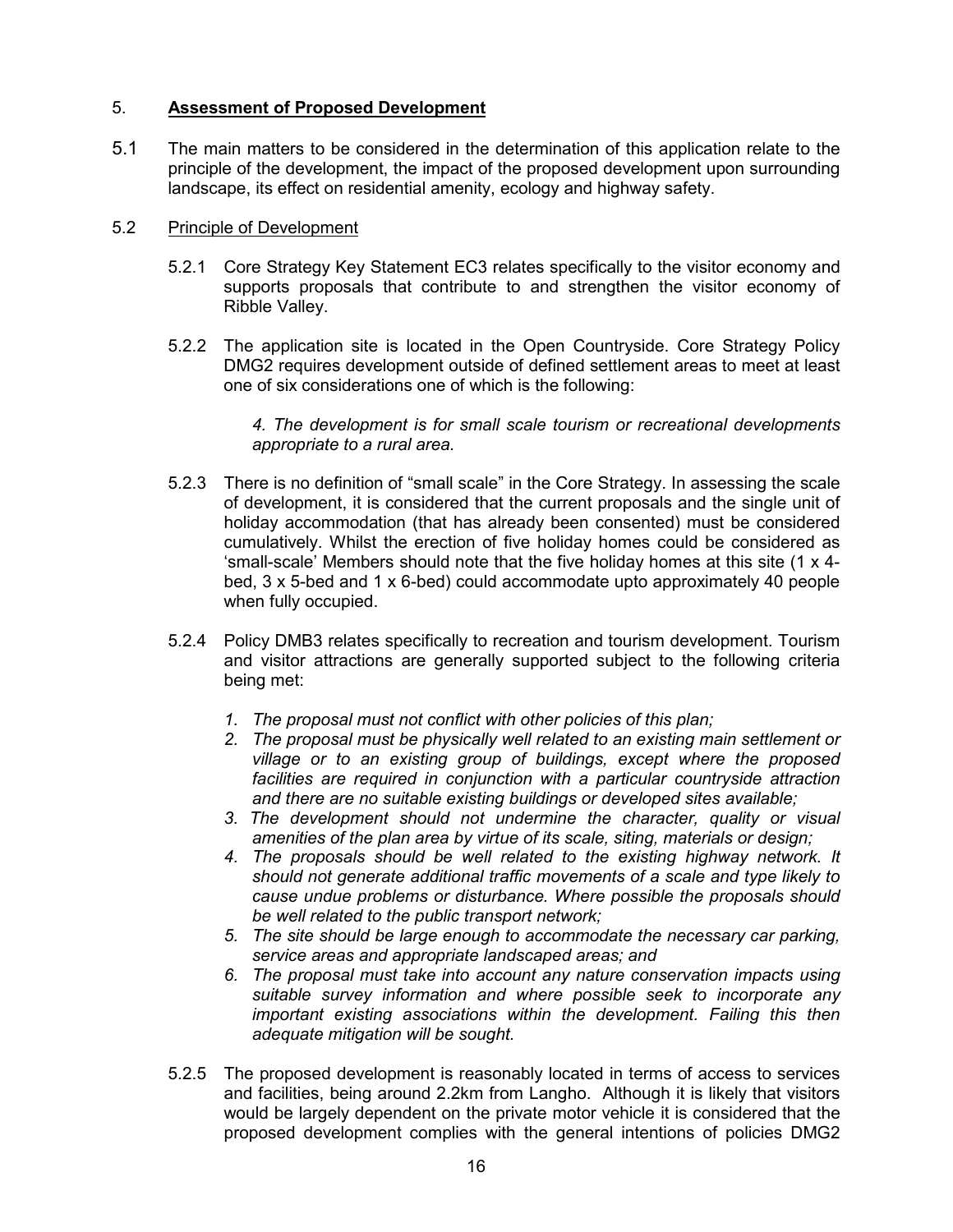# 5. **Assessment of Proposed Development**

5.1 The main matters to be considered in the determination of this application relate to the principle of the development, the impact of the proposed development upon surrounding landscape, its effect on residential amenity, ecology and highway safety.

### 5.2 Principle of Development

- 5.2.1 Core Strategy Key Statement EC3 relates specifically to the visitor economy and supports proposals that contribute to and strengthen the visitor economy of Ribble Valley.
- 5.2.2 The application site is located in the Open Countryside. Core Strategy Policy DMG2 requires development outside of defined settlement areas to meet at least one of six considerations one of which is the following:

*4. The development is for small scale tourism or recreational developments appropriate to a rural area.*

- 5.2.3 There is no definition of "small scale" in the Core Strategy. In assessing the scale of development, it is considered that the current proposals and the single unit of holiday accommodation (that has already been consented) must be considered cumulatively. Whilst the erection of five holiday homes could be considered as 'small-scale' Members should note that the five holiday homes at this site (1 x 4 bed, 3 x 5-bed and 1 x 6-bed) could accommodate upto approximately 40 people when fully occupied.
- 5.2.4 Policy DMB3 relates specifically to recreation and tourism development. Tourism and visitor attractions are generally supported subject to the following criteria being met:
	- *1. The proposal must not conflict with other policies of this plan;*
	- *2. The proposal must be physically well related to an existing main settlement or village or to an existing group of buildings, except where the proposed facilities are required in conjunction with a particular countryside attraction and there are no suitable existing buildings or developed sites available;*
	- *3. The development should not undermine the character, quality or visual amenities of the plan area by virtue of its scale, siting, materials or design;*
	- *4. The proposals should be well related to the existing highway network. It should not generate additional traffic movements of a scale and type likely to cause undue problems or disturbance. Where possible the proposals should be well related to the public transport network;*
	- *5. The site should be large enough to accommodate the necessary car parking, service areas and appropriate landscaped areas; and*
	- *6. The proposal must take into account any nature conservation impacts using suitable survey information and where possible seek to incorporate any important existing associations within the development. Failing this then adequate mitigation will be sought.*
- 5.2.5 The proposed development is reasonably located in terms of access to services and facilities, being around 2.2km from Langho. Although it is likely that visitors would be largely dependent on the private motor vehicle it is considered that the proposed development complies with the general intentions of policies DMG2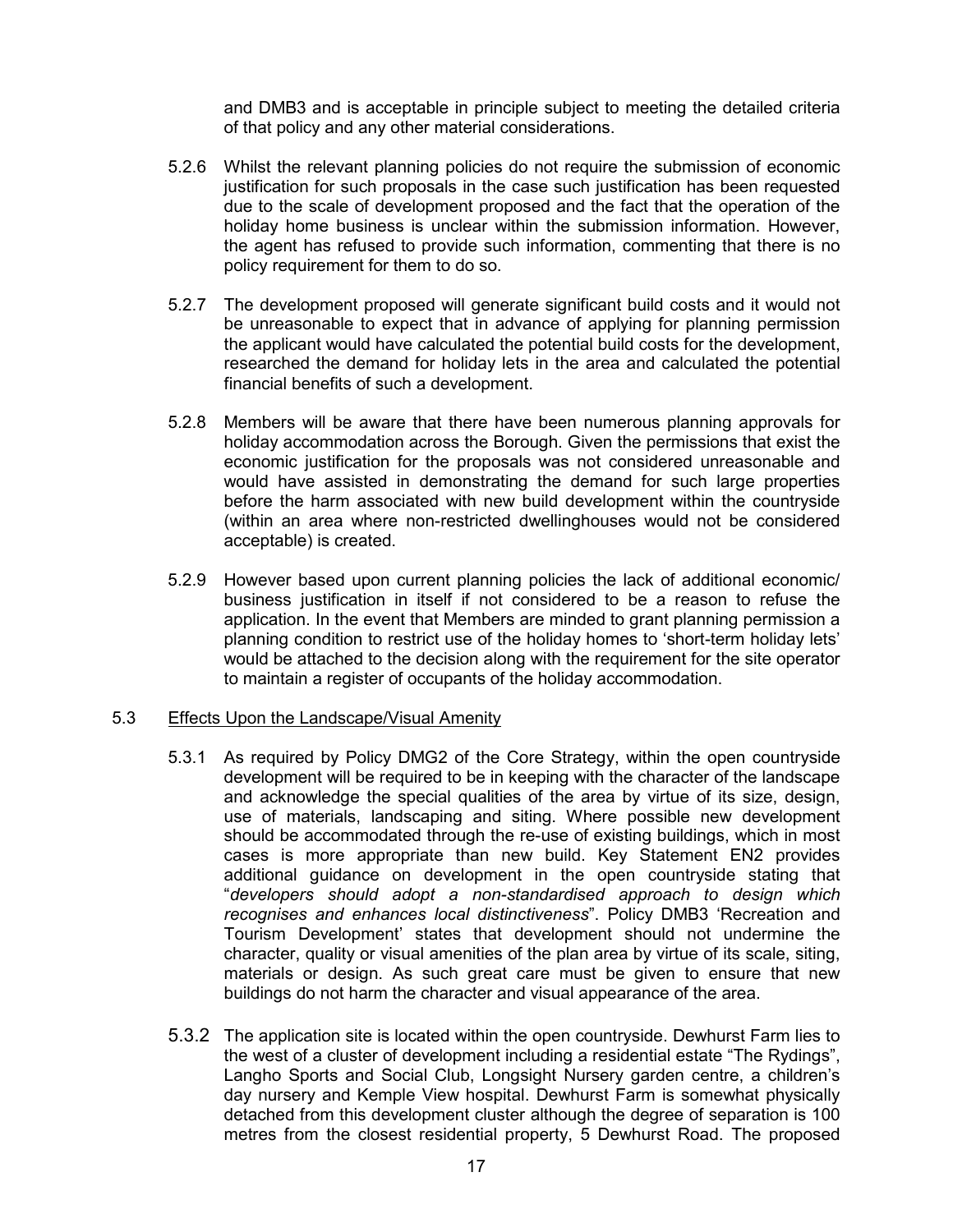and DMB3 and is acceptable in principle subject to meeting the detailed criteria of that policy and any other material considerations.

- 5.2.6 Whilst the relevant planning policies do not require the submission of economic justification for such proposals in the case such justification has been requested due to the scale of development proposed and the fact that the operation of the holiday home business is unclear within the submission information. However, the agent has refused to provide such information, commenting that there is no policy requirement for them to do so.
- 5.2.7 The development proposed will generate significant build costs and it would not be unreasonable to expect that in advance of applying for planning permission the applicant would have calculated the potential build costs for the development, researched the demand for holiday lets in the area and calculated the potential financial benefits of such a development.
- 5.2.8 Members will be aware that there have been numerous planning approvals for holiday accommodation across the Borough. Given the permissions that exist the economic justification for the proposals was not considered unreasonable and would have assisted in demonstrating the demand for such large properties before the harm associated with new build development within the countryside (within an area where non-restricted dwellinghouses would not be considered acceptable) is created.
- 5.2.9 However based upon current planning policies the lack of additional economic/ business justification in itself if not considered to be a reason to refuse the application. In the event that Members are minded to grant planning permission a planning condition to restrict use of the holiday homes to 'short-term holiday lets' would be attached to the decision along with the requirement for the site operator to maintain a register of occupants of the holiday accommodation.

#### 5.3 Effects Upon the Landscape/Visual Amenity

- 5.3.1 As required by Policy DMG2 of the Core Strategy, within the open countryside development will be required to be in keeping with the character of the landscape and acknowledge the special qualities of the area by virtue of its size, design, use of materials, landscaping and siting. Where possible new development should be accommodated through the re-use of existing buildings, which in most cases is more appropriate than new build. Key Statement EN2 provides additional guidance on development in the open countryside stating that "*developers should adopt a non-standardised approach to design which recognises and enhances local distinctiveness*". Policy DMB3 'Recreation and Tourism Development' states that development should not undermine the character, quality or visual amenities of the plan area by virtue of its scale, siting, materials or design. As such great care must be given to ensure that new buildings do not harm the character and visual appearance of the area.
- 5.3.2 The application site is located within the open countryside. Dewhurst Farm lies to the west of a cluster of development including a residential estate "The Rydings", Langho Sports and Social Club, Longsight Nursery garden centre, a children's day nursery and Kemple View hospital. Dewhurst Farm is somewhat physically detached from this development cluster although the degree of separation is 100 metres from the closest residential property, 5 Dewhurst Road. The proposed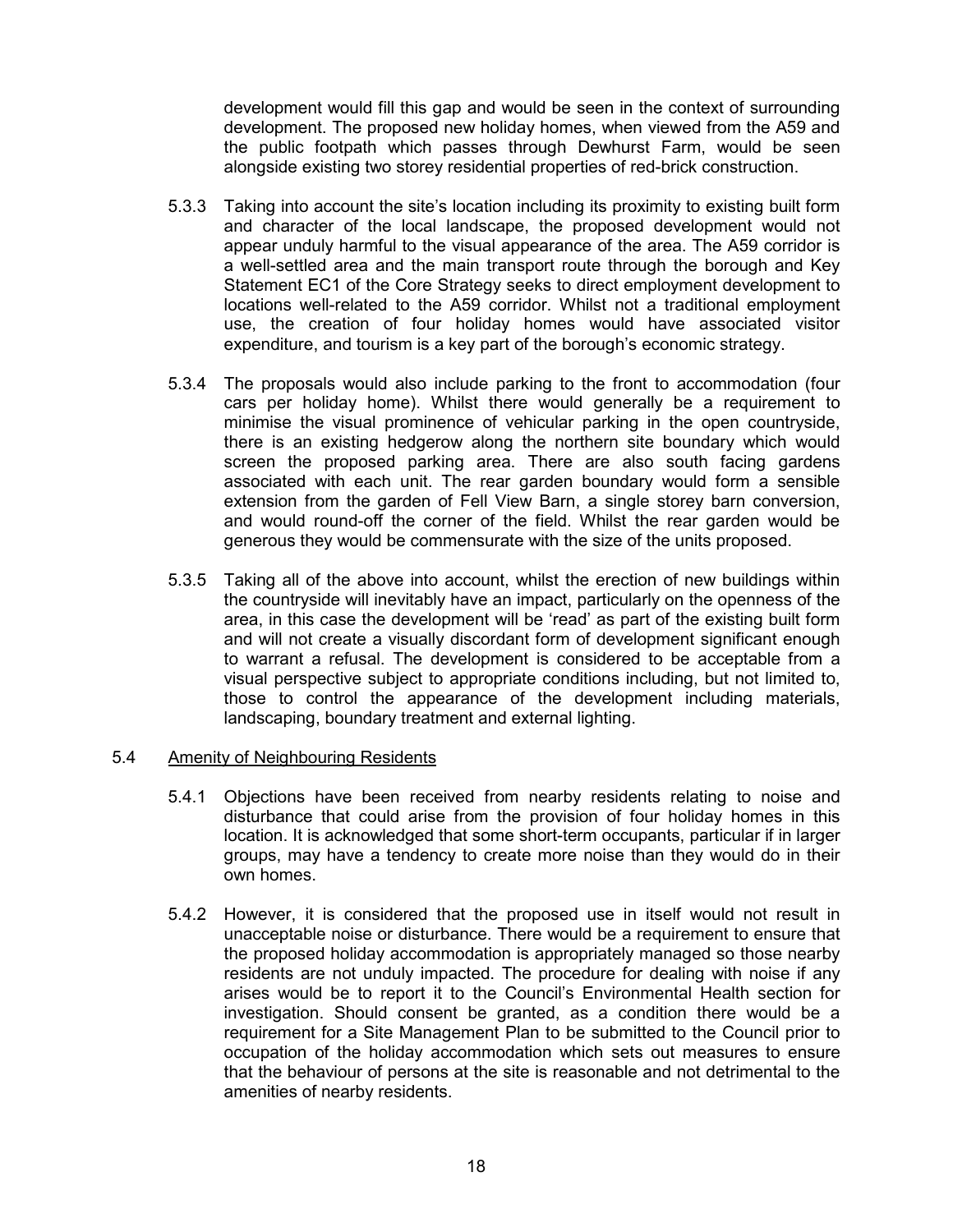development would fill this gap and would be seen in the context of surrounding development. The proposed new holiday homes, when viewed from the A59 and the public footpath which passes through Dewhurst Farm, would be seen alongside existing two storey residential properties of red-brick construction.

- 5.3.3 Taking into account the site's location including its proximity to existing built form and character of the local landscape, the proposed development would not appear unduly harmful to the visual appearance of the area. The A59 corridor is a well-settled area and the main transport route through the borough and Key Statement EC1 of the Core Strategy seeks to direct employment development to locations well-related to the A59 corridor. Whilst not a traditional employment use, the creation of four holiday homes would have associated visitor expenditure, and tourism is a key part of the borough's economic strategy.
- 5.3.4 The proposals would also include parking to the front to accommodation (four cars per holiday home). Whilst there would generally be a requirement to minimise the visual prominence of vehicular parking in the open countryside, there is an existing hedgerow along the northern site boundary which would screen the proposed parking area. There are also south facing gardens associated with each unit. The rear garden boundary would form a sensible extension from the garden of Fell View Barn, a single storey barn conversion, and would round-off the corner of the field. Whilst the rear garden would be generous they would be commensurate with the size of the units proposed.
- 5.3.5 Taking all of the above into account, whilst the erection of new buildings within the countryside will inevitably have an impact, particularly on the openness of the area, in this case the development will be 'read' as part of the existing built form and will not create a visually discordant form of development significant enough to warrant a refusal. The development is considered to be acceptable from a visual perspective subject to appropriate conditions including, but not limited to, those to control the appearance of the development including materials, landscaping, boundary treatment and external lighting.

#### 5.4 Amenity of Neighbouring Residents

- 5.4.1 Objections have been received from nearby residents relating to noise and disturbance that could arise from the provision of four holiday homes in this location. It is acknowledged that some short-term occupants, particular if in larger groups, may have a tendency to create more noise than they would do in their own homes.
- 5.4.2 However, it is considered that the proposed use in itself would not result in unacceptable noise or disturbance. There would be a requirement to ensure that the proposed holiday accommodation is appropriately managed so those nearby residents are not unduly impacted. The procedure for dealing with noise if any arises would be to report it to the Council's Environmental Health section for investigation. Should consent be granted, as a condition there would be a requirement for a Site Management Plan to be submitted to the Council prior to occupation of the holiday accommodation which sets out measures to ensure that the behaviour of persons at the site is reasonable and not detrimental to the amenities of nearby residents.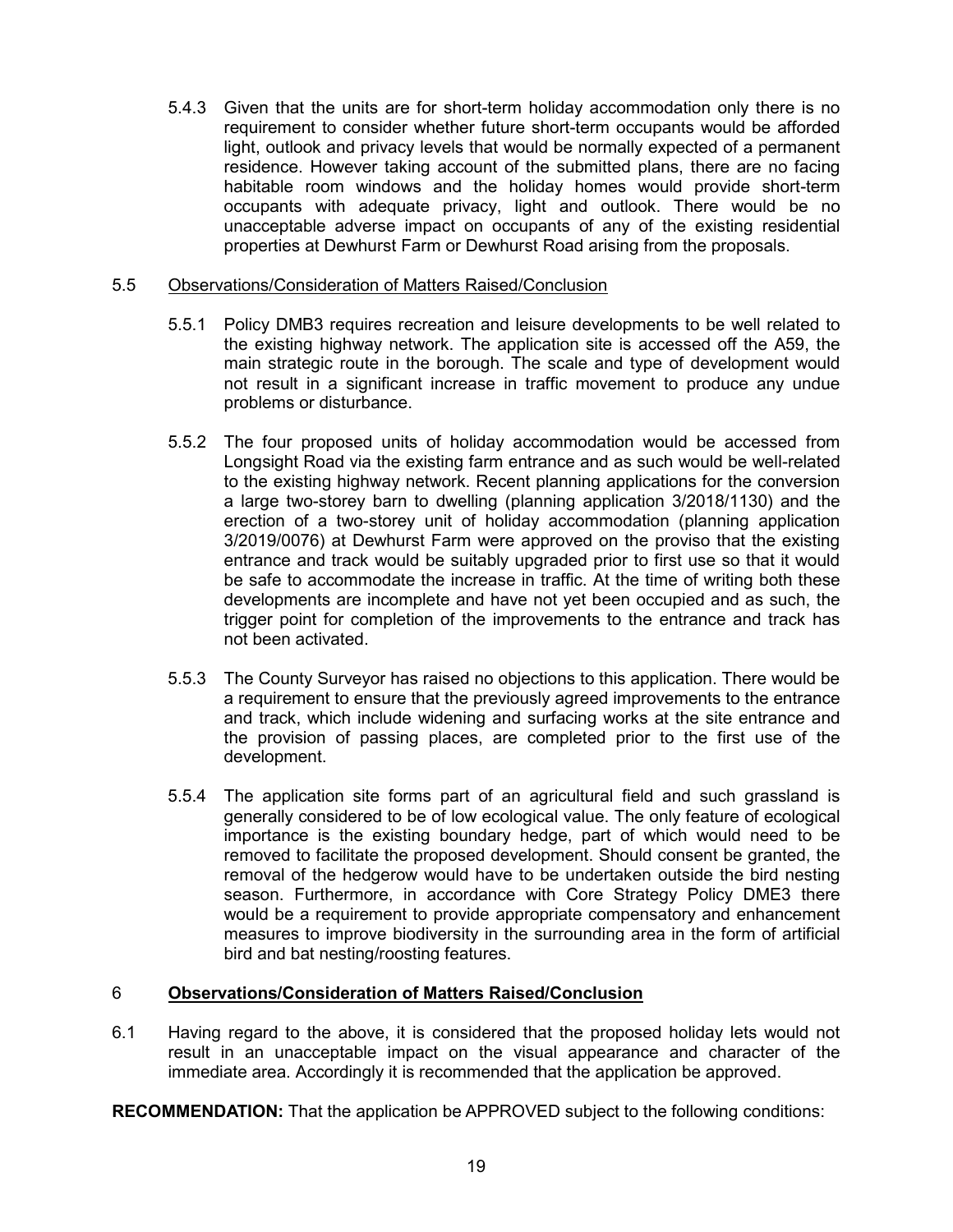5.4.3 Given that the units are for short-term holiday accommodation only there is no requirement to consider whether future short-term occupants would be afforded light, outlook and privacy levels that would be normally expected of a permanent residence. However taking account of the submitted plans, there are no facing habitable room windows and the holiday homes would provide short-term occupants with adequate privacy, light and outlook. There would be no unacceptable adverse impact on occupants of any of the existing residential properties at Dewhurst Farm or Dewhurst Road arising from the proposals.

### 5.5 Observations/Consideration of Matters Raised/Conclusion

- 5.5.1 Policy DMB3 requires recreation and leisure developments to be well related to the existing highway network. The application site is accessed off the A59, the main strategic route in the borough. The scale and type of development would not result in a significant increase in traffic movement to produce any undue problems or disturbance.
- 5.5.2 The four proposed units of holiday accommodation would be accessed from Longsight Road via the existing farm entrance and as such would be well-related to the existing highway network. Recent planning applications for the conversion a large two-storey barn to dwelling (planning application 3/2018/1130) and the erection of a two-storey unit of holiday accommodation (planning application 3/2019/0076) at Dewhurst Farm were approved on the proviso that the existing entrance and track would be suitably upgraded prior to first use so that it would be safe to accommodate the increase in traffic. At the time of writing both these developments are incomplete and have not yet been occupied and as such, the trigger point for completion of the improvements to the entrance and track has not been activated.
- 5.5.3 The County Surveyor has raised no objections to this application. There would be a requirement to ensure that the previously agreed improvements to the entrance and track, which include widening and surfacing works at the site entrance and the provision of passing places, are completed prior to the first use of the development.
- 5.5.4 The application site forms part of an agricultural field and such grassland is generally considered to be of low ecological value. The only feature of ecological importance is the existing boundary hedge, part of which would need to be removed to facilitate the proposed development. Should consent be granted, the removal of the hedgerow would have to be undertaken outside the bird nesting season. Furthermore, in accordance with Core Strategy Policy DME3 there would be a requirement to provide appropriate compensatory and enhancement measures to improve biodiversity in the surrounding area in the form of artificial bird and bat nesting/roosting features.

### 6 **Observations/Consideration of Matters Raised/Conclusion**

6.1 Having regard to the above, it is considered that the proposed holiday lets would not result in an unacceptable impact on the visual appearance and character of the immediate area. Accordingly it is recommended that the application be approved.

**RECOMMENDATION:** That the application be APPROVED subject to the following conditions: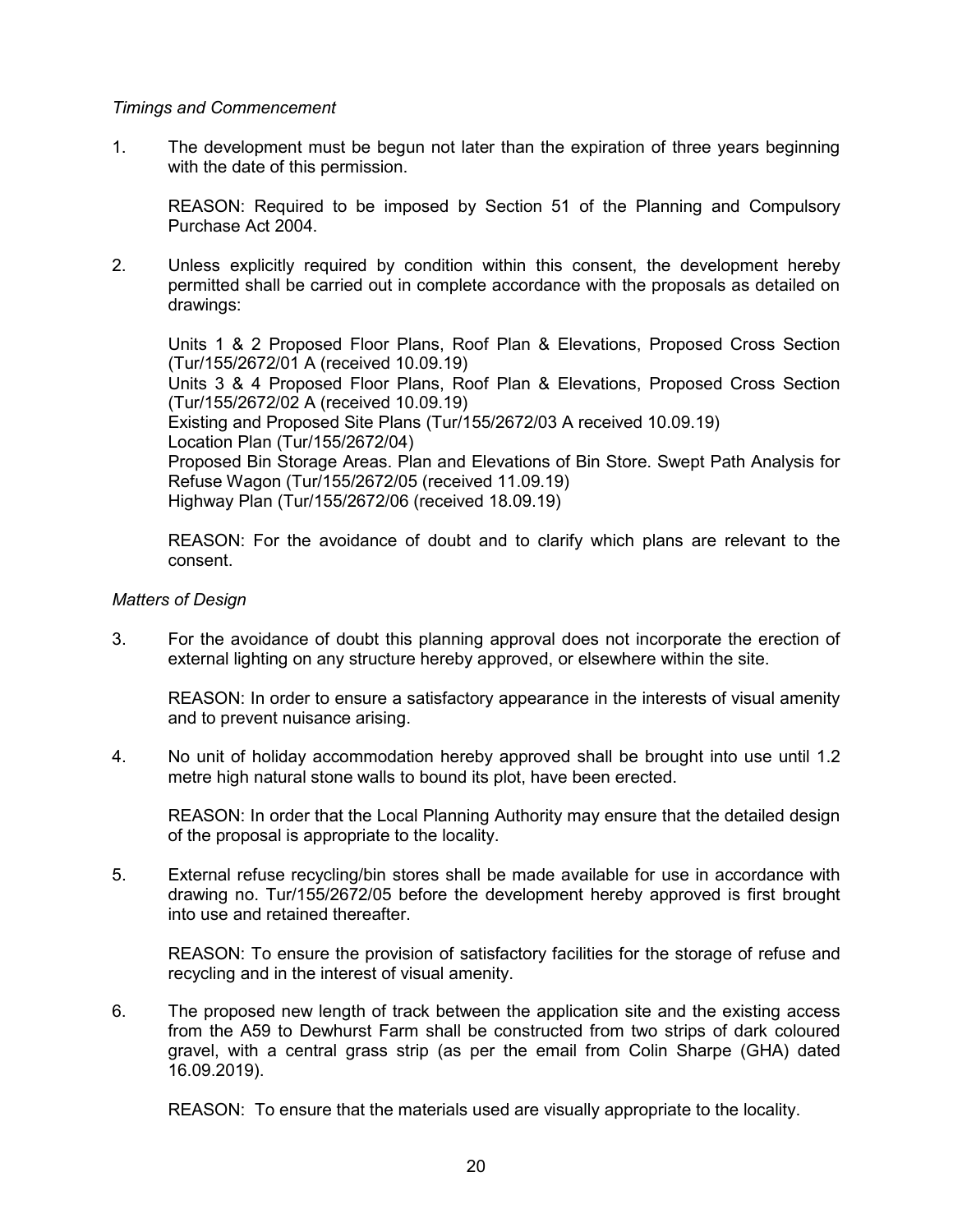#### *Timings and Commencement*

1. The development must be begun not later than the expiration of three years beginning with the date of this permission.

REASON: Required to be imposed by Section 51 of the Planning and Compulsory Purchase Act 2004.

2. Unless explicitly required by condition within this consent, the development hereby permitted shall be carried out in complete accordance with the proposals as detailed on drawings:

Units 1 & 2 Proposed Floor Plans, Roof Plan & Elevations, Proposed Cross Section (Tur/155/2672/01 A (received 10.09.19) Units 3 & 4 Proposed Floor Plans, Roof Plan & Elevations, Proposed Cross Section (Tur/155/2672/02 A (received 10.09.19) Existing and Proposed Site Plans (Tur/155/2672/03 A received 10.09.19) Location Plan (Tur/155/2672/04) Proposed Bin Storage Areas. Plan and Elevations of Bin Store. Swept Path Analysis for Refuse Wagon (Tur/155/2672/05 (received 11.09.19) Highway Plan (Tur/155/2672/06 (received 18.09.19)

REASON: For the avoidance of doubt and to clarify which plans are relevant to the consent.

#### *Matters of Design*

3. For the avoidance of doubt this planning approval does not incorporate the erection of external lighting on any structure hereby approved, or elsewhere within the site.

REASON: In order to ensure a satisfactory appearance in the interests of visual amenity and to prevent nuisance arising.

4. No unit of holiday accommodation hereby approved shall be brought into use until 1.2 metre high natural stone walls to bound its plot, have been erected.

REASON: In order that the Local Planning Authority may ensure that the detailed design of the proposal is appropriate to the locality.

5. External refuse recycling/bin stores shall be made available for use in accordance with drawing no. Tur/155/2672/05 before the development hereby approved is first brought into use and retained thereafter.

REASON: To ensure the provision of satisfactory facilities for the storage of refuse and recycling and in the interest of visual amenity.

6. The proposed new length of track between the application site and the existing access from the A59 to Dewhurst Farm shall be constructed from two strips of dark coloured gravel, with a central grass strip (as per the email from Colin Sharpe (GHA) dated 16.09.2019).

REASON: To ensure that the materials used are visually appropriate to the locality.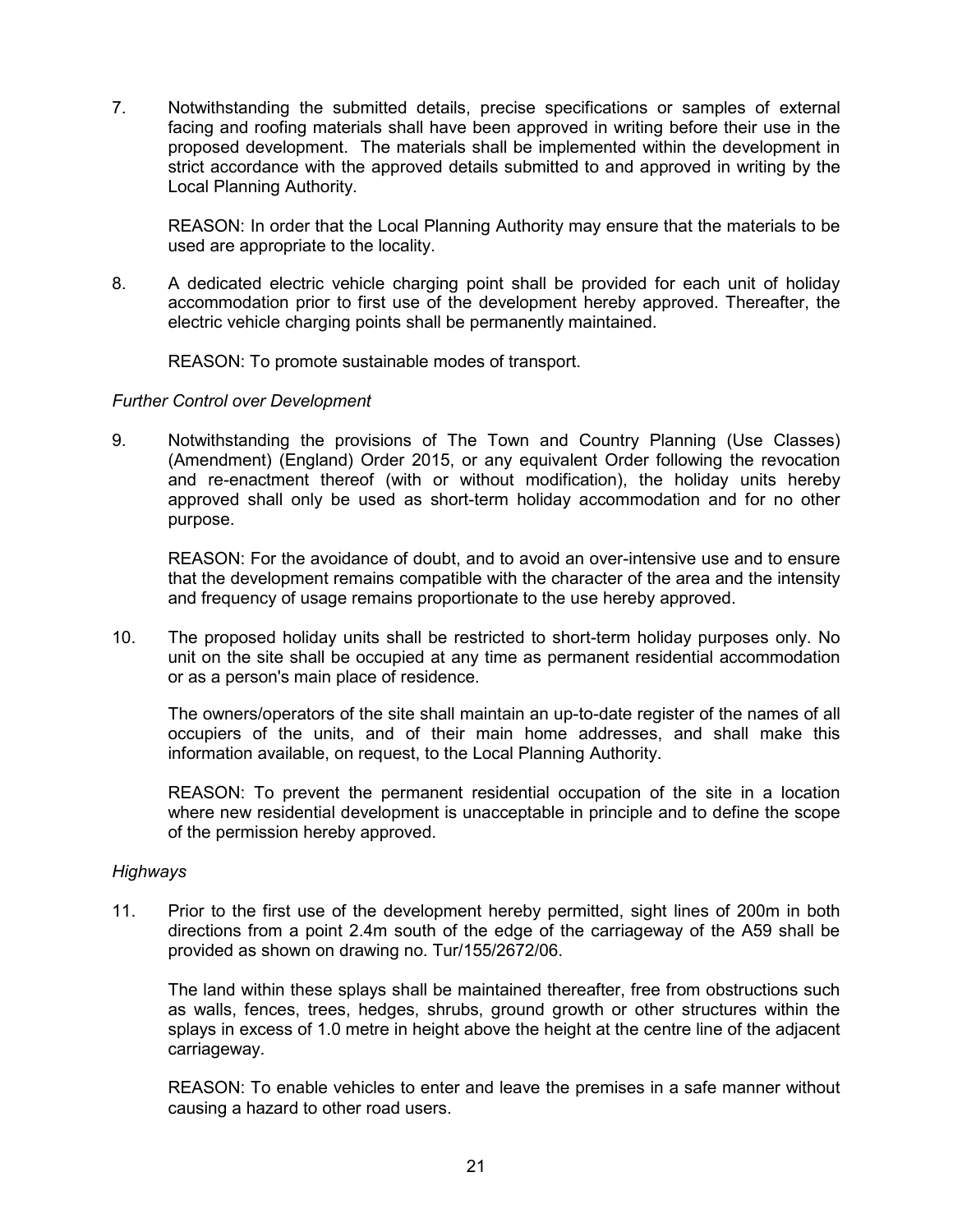7. Notwithstanding the submitted details, precise specifications or samples of external facing and roofing materials shall have been approved in writing before their use in the proposed development. The materials shall be implemented within the development in strict accordance with the approved details submitted to and approved in writing by the Local Planning Authority.

REASON: In order that the Local Planning Authority may ensure that the materials to be used are appropriate to the locality.

8. A dedicated electric vehicle charging point shall be provided for each unit of holiday accommodation prior to first use of the development hereby approved. Thereafter, the electric vehicle charging points shall be permanently maintained.

REASON: To promote sustainable modes of transport.

#### *Further Control over Development*

9. Notwithstanding the provisions of The Town and Country Planning (Use Classes) (Amendment) (England) Order 2015, or any equivalent Order following the revocation and re-enactment thereof (with or without modification), the holiday units hereby approved shall only be used as short-term holiday accommodation and for no other purpose.

REASON: For the avoidance of doubt, and to avoid an over-intensive use and to ensure that the development remains compatible with the character of the area and the intensity and frequency of usage remains proportionate to the use hereby approved.

10. The proposed holiday units shall be restricted to short-term holiday purposes only. No unit on the site shall be occupied at any time as permanent residential accommodation or as a person's main place of residence.

The owners/operators of the site shall maintain an up-to-date register of the names of all occupiers of the units, and of their main home addresses, and shall make this information available, on request, to the Local Planning Authority.

REASON: To prevent the permanent residential occupation of the site in a location where new residential development is unacceptable in principle and to define the scope of the permission hereby approved.

#### *Highways*

11. Prior to the first use of the development hereby permitted, sight lines of 200m in both directions from a point 2.4m south of the edge of the carriageway of the A59 shall be provided as shown on drawing no. Tur/155/2672/06.

The land within these splays shall be maintained thereafter, free from obstructions such as walls, fences, trees, hedges, shrubs, ground growth or other structures within the splays in excess of 1.0 metre in height above the height at the centre line of the adjacent carriageway.

REASON: To enable vehicles to enter and leave the premises in a safe manner without causing a hazard to other road users.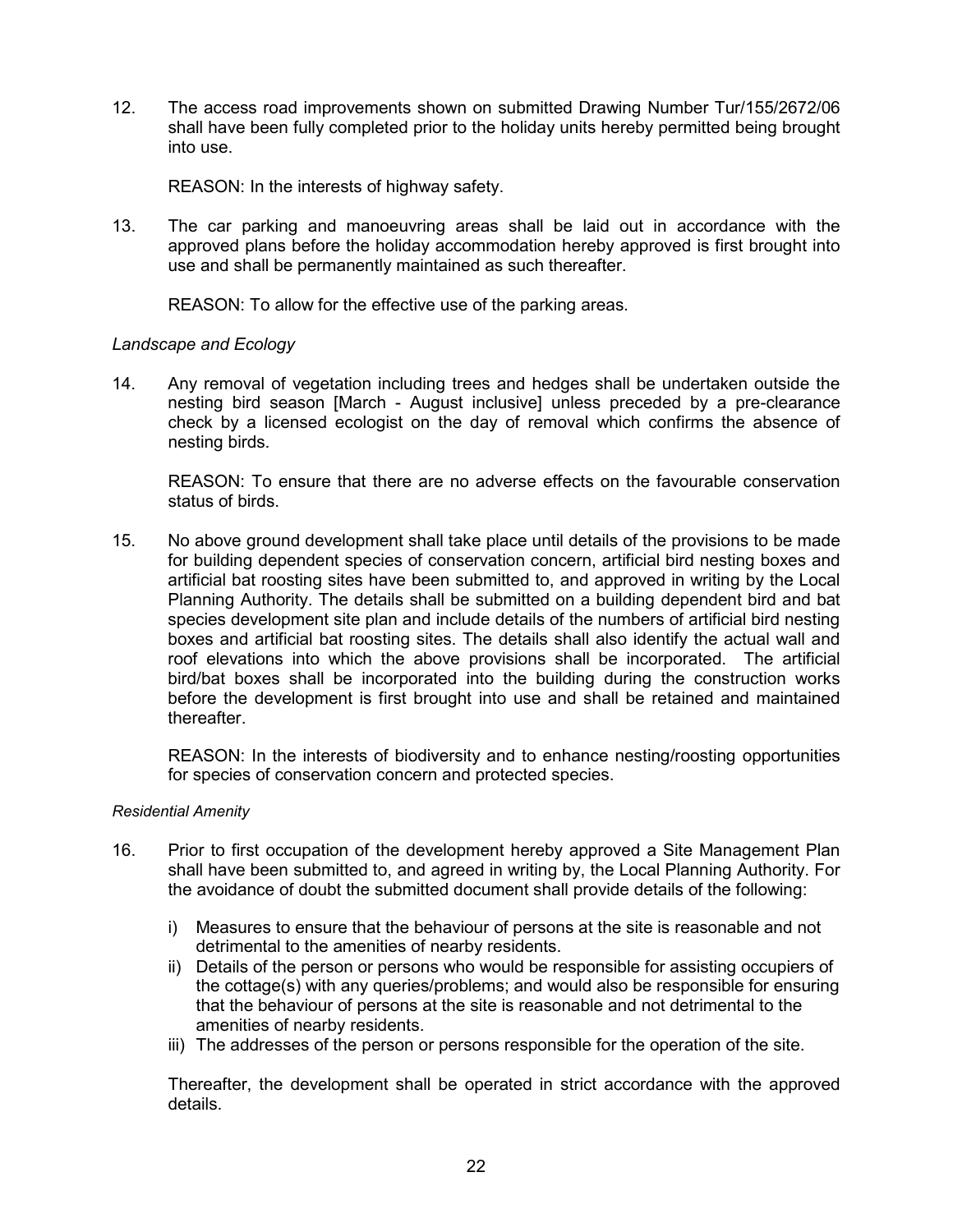12. The access road improvements shown on submitted Drawing Number Tur/155/2672/06 shall have been fully completed prior to the holiday units hereby permitted being brought into use.

REASON: In the interests of highway safety.

13. The car parking and manoeuvring areas shall be laid out in accordance with the approved plans before the holiday accommodation hereby approved is first brought into use and shall be permanently maintained as such thereafter.

REASON: To allow for the effective use of the parking areas.

### *Landscape and Ecology*

14. Any removal of vegetation including trees and hedges shall be undertaken outside the nesting bird season [March - August inclusive] unless preceded by a pre-clearance check by a licensed ecologist on the day of removal which confirms the absence of nesting birds.

REASON: To ensure that there are no adverse effects on the favourable conservation status of birds.

15. No above ground development shall take place until details of the provisions to be made for building dependent species of conservation concern, artificial bird nesting boxes and artificial bat roosting sites have been submitted to, and approved in writing by the Local Planning Authority. The details shall be submitted on a building dependent bird and bat species development site plan and include details of the numbers of artificial bird nesting boxes and artificial bat roosting sites. The details shall also identify the actual wall and roof elevations into which the above provisions shall be incorporated. The artificial bird/bat boxes shall be incorporated into the building during the construction works before the development is first brought into use and shall be retained and maintained thereafter.

REASON: In the interests of biodiversity and to enhance nesting/roosting opportunities for species of conservation concern and protected species.

#### *Residential Amenity*

- 16. Prior to first occupation of the development hereby approved a Site Management Plan shall have been submitted to, and agreed in writing by, the Local Planning Authority. For the avoidance of doubt the submitted document shall provide details of the following:
	- i) Measures to ensure that the behaviour of persons at the site is reasonable and not detrimental to the amenities of nearby residents.
	- ii) Details of the person or persons who would be responsible for assisting occupiers of the cottage(s) with any queries/problems; and would also be responsible for ensuring that the behaviour of persons at the site is reasonable and not detrimental to the amenities of nearby residents.
	- iii) The addresses of the person or persons responsible for the operation of the site.

Thereafter, the development shall be operated in strict accordance with the approved details.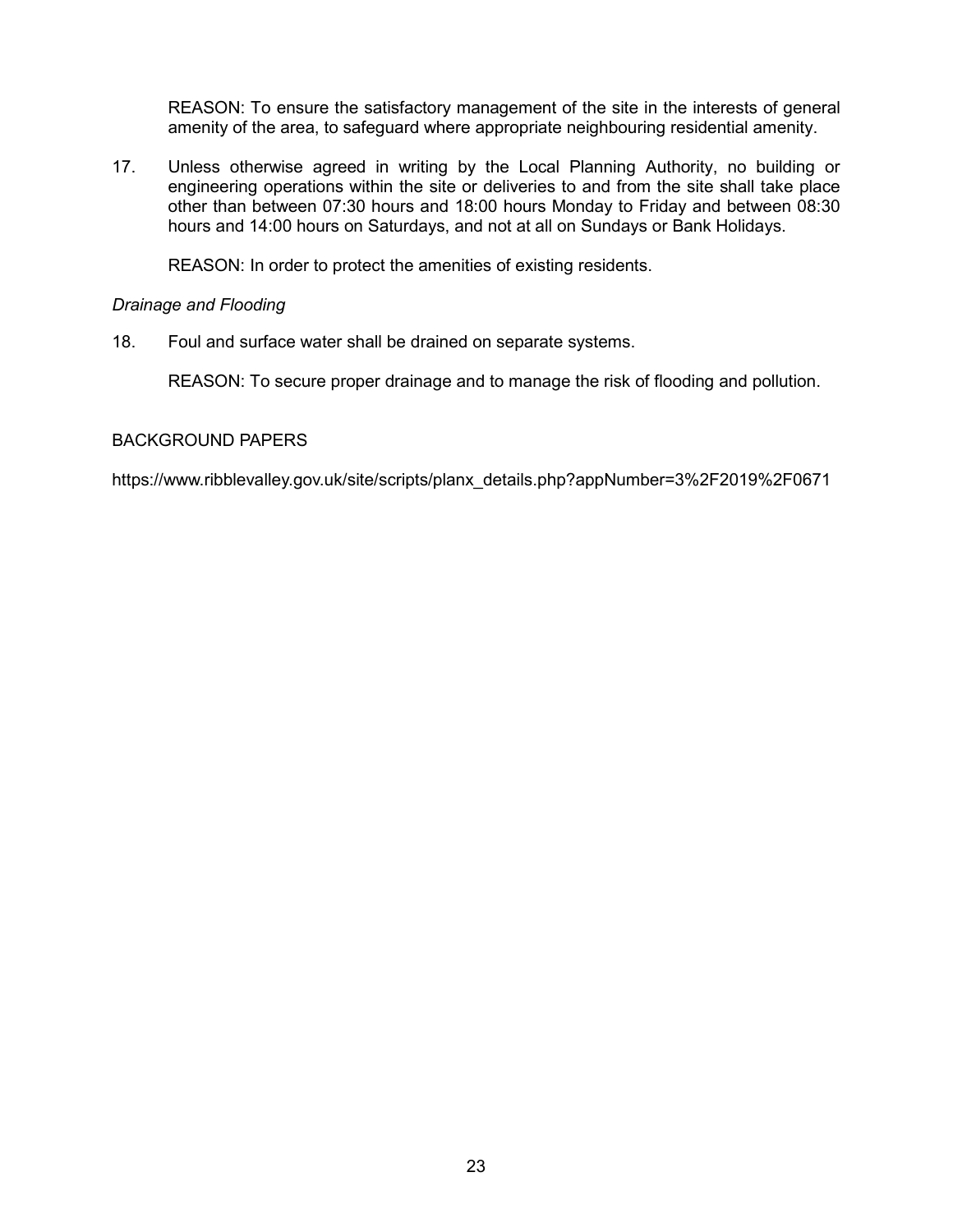REASON: To ensure the satisfactory management of the site in the interests of general amenity of the area, to safeguard where appropriate neighbouring residential amenity.

17. Unless otherwise agreed in writing by the Local Planning Authority, no building or engineering operations within the site or deliveries to and from the site shall take place other than between 07:30 hours and 18:00 hours Monday to Friday and between 08:30 hours and 14:00 hours on Saturdays, and not at all on Sundays or Bank Holidays.

REASON: In order to protect the amenities of existing residents.

### *Drainage and Flooding*

18. Foul and surface water shall be drained on separate systems.

REASON: To secure proper drainage and to manage the risk of flooding and pollution.

### BACKGROUND PAPERS

https://www.ribblevalley.gov.uk/site/scripts/planx\_details.php?appNumber=3%2F2019%2F0671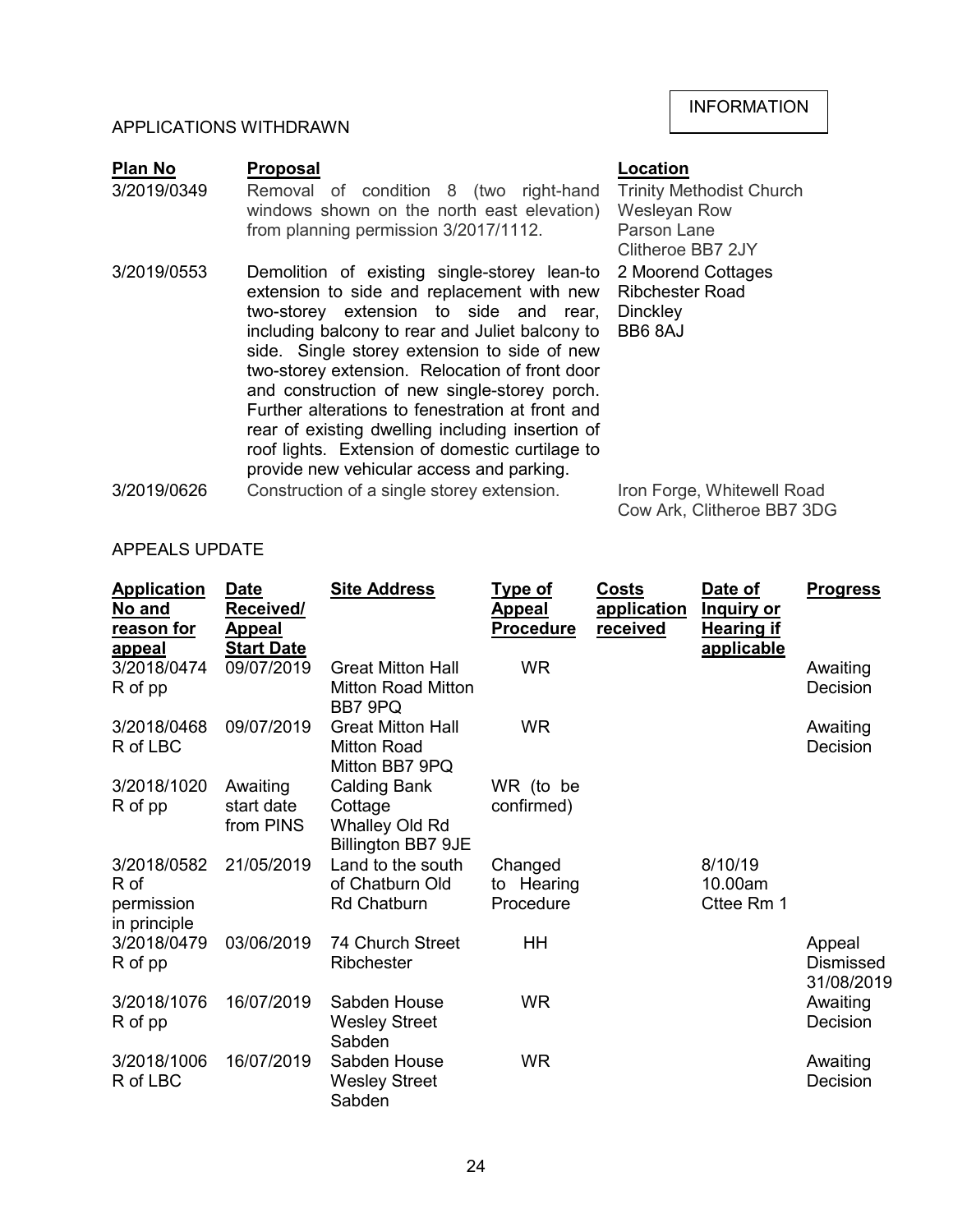### APPLICATIONS WITHDRAWN

| <b>Plan No</b> | <b>Proposal</b>                                                                                                                                                                                                                                                                           | Location                                                                            |
|----------------|-------------------------------------------------------------------------------------------------------------------------------------------------------------------------------------------------------------------------------------------------------------------------------------------|-------------------------------------------------------------------------------------|
| 3/2019/0349    | Removal of condition 8 (two right-hand<br>windows shown on the north east elevation)<br>from planning permission 3/2017/1112.                                                                                                                                                             | <b>Trinity Methodist Church</b><br>Wesleyan Row<br>Parson Lane<br>Clitheroe BB7 2JY |
| 3/2019/0553    | Demolition of existing single-storey lean-to<br>extension to side and replacement with new<br>two-storey extension to side and rear,<br>including balcony to rear and Juliet balcony to<br>side. Single storey extension to side of new<br>two-storey extension. Relocation of front door | 2 Moorend Cottages<br><b>Ribchester Road</b><br><b>Dinckley</b><br>BB6 8AJ          |

and construction of new single-storey porch. Further alterations to fenestration at front and rear of existing dwelling including insertion of roof lights. Extension of domestic curtilage to provide new vehicular access and parking.

3/2019/0626 Construction of a single storey extension. Iron Forge, Whitewell Road Cow Ark, Clitheroe BB7 3DG

| <b>Application</b><br>No and<br>reason for<br>appeal | <b>Date</b><br>Received/<br>Appeal<br><b>Start Date</b> | <b>Site Address</b>                                                           | <b>Type of</b><br>Appeal<br><b>Procedure</b> | Costs<br>application<br>received | Date of<br><b>Inquiry or</b><br><b>Hearing if</b><br>applicable | <b>Progress</b>                   |
|------------------------------------------------------|---------------------------------------------------------|-------------------------------------------------------------------------------|----------------------------------------------|----------------------------------|-----------------------------------------------------------------|-----------------------------------|
| 3/2018/0474<br>R of pp                               | 09/07/2019                                              | <b>Great Mitton Hall</b><br><b>Mitton Road Mitton</b><br>BB7 9PQ              | <b>WR</b>                                    |                                  |                                                                 | Awaiting<br><b>Decision</b>       |
| 3/2018/0468<br>R of LBC                              | 09/07/2019                                              | <b>Great Mitton Hall</b><br><b>Mitton Road</b><br>Mitton BB7 9PQ              | <b>WR</b>                                    |                                  |                                                                 | Awaiting<br>Decision              |
| 3/2018/1020<br>R of pp                               | Awaiting<br>start date<br>from PINS                     | <b>Calding Bank</b><br>Cottage<br>Whalley Old Rd<br><b>Billington BB7 9JE</b> | WR (to be<br>confirmed)                      |                                  |                                                                 |                                   |
| 3/2018/0582<br>R of<br>permission<br>in principle    | 21/05/2019                                              | Land to the south<br>of Chatburn Old<br><b>Rd Chatburn</b>                    | Changed<br>to Hearing<br>Procedure           |                                  | 8/10/19<br>10.00am<br>Cttee Rm 1                                |                                   |
| 3/2018/0479<br>R of pp                               | 03/06/2019                                              | 74 Church Street<br>Ribchester                                                | HH                                           |                                  |                                                                 | Appeal<br>Dismissed<br>31/08/2019 |
| 3/2018/1076<br>R of pp                               | 16/07/2019                                              | Sabden House<br><b>Wesley Street</b><br>Sabden                                | <b>WR</b>                                    |                                  |                                                                 | Awaiting<br>Decision              |
| 3/2018/1006<br>R of LBC                              | 16/07/2019                                              | Sabden House<br><b>Wesley Street</b><br>Sabden                                | <b>WR</b>                                    |                                  |                                                                 | Awaiting<br>Decision              |

### APPEALS UPDATE